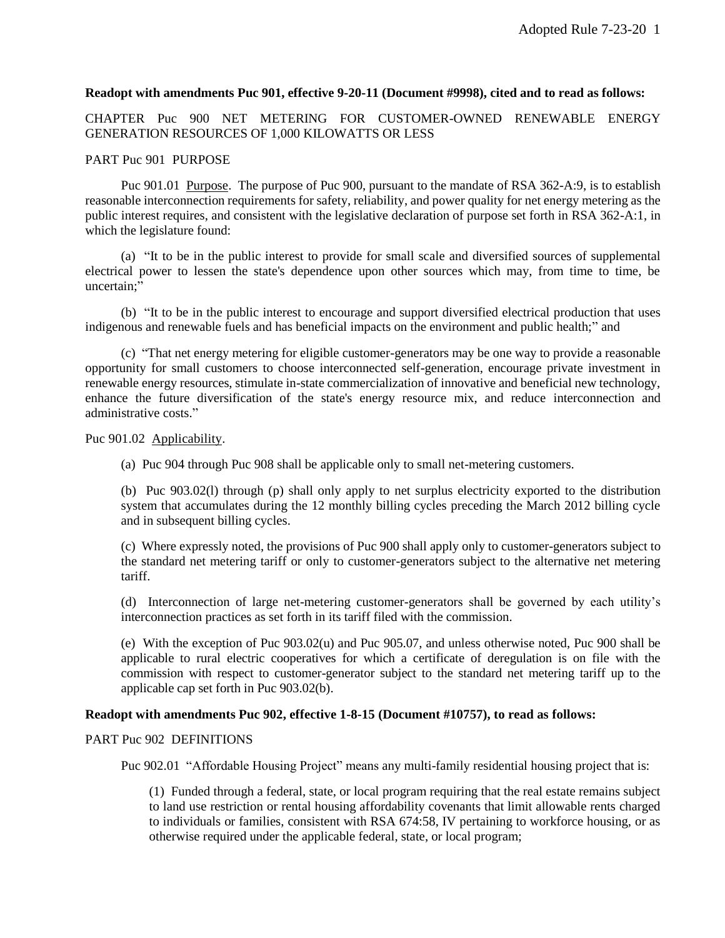#### **Readopt with amendments Puc 901, effective 9-20-11 (Document #9998), cited and to read as follows:**

CHAPTER Puc 900 NET METERING FOR CUSTOMER-OWNED RENEWABLE ENERGY GENERATION RESOURCES OF 1,000 KILOWATTS OR LESS

#### PART Puc 901 PURPOSE

Puc 901.01 Purpose. The purpose of Puc 900, pursuant to the mandate of RSA 362-A:9, is to establish reasonable interconnection requirements for safety, reliability, and power quality for net energy metering as the public interest requires, and consistent with the legislative declaration of purpose set forth in RSA 362-A:1, in which the legislature found:

(a) "It to be in the public interest to provide for small scale and diversified sources of supplemental electrical power to lessen the state's dependence upon other sources which may, from time to time, be uncertain;"

(b) "It to be in the public interest to encourage and support diversified electrical production that uses indigenous and renewable fuels and has beneficial impacts on the environment and public health;" and

(c) "That net energy metering for eligible customer-generators may be one way to provide a reasonable opportunity for small customers to choose interconnected self-generation, encourage private investment in renewable energy resources, stimulate in-state commercialization of innovative and beneficial new technology, enhance the future diversification of the state's energy resource mix, and reduce interconnection and administrative costs."

Puc 901.02 Applicability.

(a) Puc 904 through Puc 908 shall be applicable only to small net-metering customers.

(b) Puc 903.02(l) through (p) shall only apply to net surplus electricity exported to the distribution system that accumulates during the 12 monthly billing cycles preceding the March 2012 billing cycle and in subsequent billing cycles.

(c) Where expressly noted, the provisions of Puc 900 shall apply only to customer-generators subject to the standard net metering tariff or only to customer-generators subject to the alternative net metering tariff.

(d) Interconnection of large net-metering customer-generators shall be governed by each utility's interconnection practices as set forth in its tariff filed with the commission.

(e) With the exception of Puc 903.02(u) and Puc 905.07, and unless otherwise noted, Puc 900 shall be applicable to rural electric cooperatives for which a certificate of deregulation is on file with the commission with respect to customer-generator subject to the standard net metering tariff up to the applicable cap set forth in Puc 903.02(b).

#### **Readopt with amendments Puc 902, effective 1-8-15 (Document #10757), to read as follows:**

#### PART Puc 902 DEFINITIONS

Puc 902.01 "Affordable Housing Project" means any multi-family residential housing project that is:

(1) Funded through a federal, state, or local program requiring that the real estate remains subject to land use restriction or rental housing affordability covenants that limit allowable rents charged to individuals or families, consistent with RSA 674:58, IV pertaining to workforce housing, or as otherwise required under the applicable federal, state, or local program;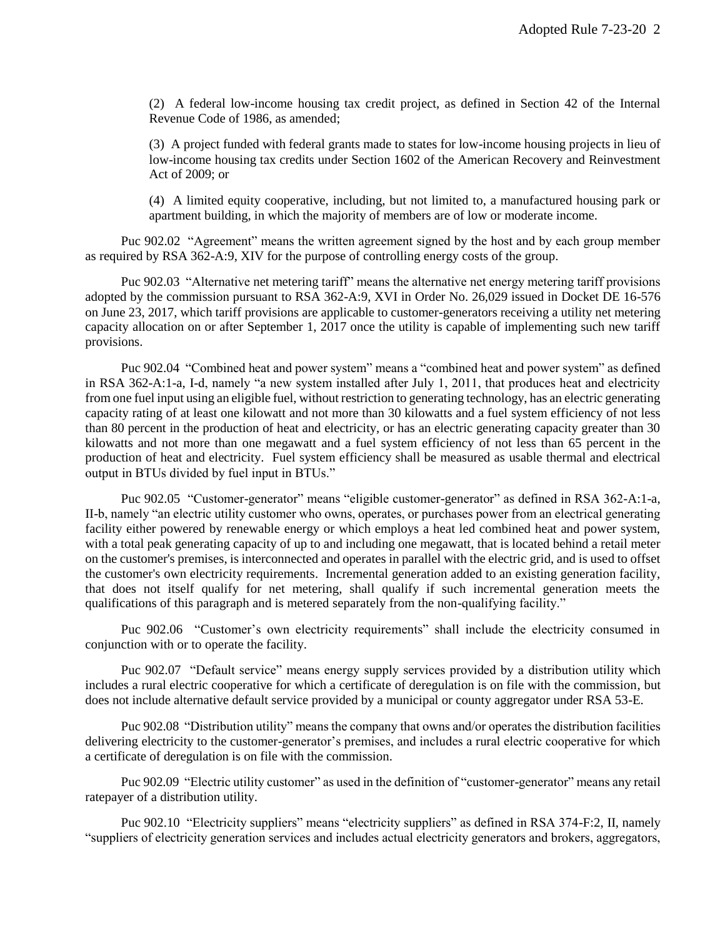(2) A federal low-income housing tax credit project, as defined in Section 42 of the Internal Revenue Code of 1986, as amended;

(3) A project funded with federal grants made to states for low-income housing projects in lieu of low-income housing tax credits under Section 1602 of the American Recovery and Reinvestment Act of 2009; or

(4) A limited equity cooperative, including, but not limited to, a manufactured housing park or apartment building, in which the majority of members are of low or moderate income.

Puc 902.02 "Agreement" means the written agreement signed by the host and by each group member as required by RSA 362-A:9, XIV for the purpose of controlling energy costs of the group.

Puc 902.03 "Alternative net metering tariff" means the alternative net energy metering tariff provisions adopted by the commission pursuant to RSA 362-A:9, XVI in Order No. 26,029 issued in Docket DE 16-576 on June 23, 2017, which tariff provisions are applicable to customer-generators receiving a utility net metering capacity allocation on or after September 1, 2017 once the utility is capable of implementing such new tariff provisions.

Puc 902.04 "Combined heat and power system" means a "combined heat and power system" as defined in RSA 362-A:1-a, I-d, namely "a new system installed after July 1, 2011, that produces heat and electricity from one fuel input using an eligible fuel, without restriction to generating technology, has an electric generating capacity rating of at least one kilowatt and not more than 30 kilowatts and a fuel system efficiency of not less than 80 percent in the production of heat and electricity, or has an electric generating capacity greater than 30 kilowatts and not more than one megawatt and a fuel system efficiency of not less than 65 percent in the production of heat and electricity. Fuel system efficiency shall be measured as usable thermal and electrical output in BTUs divided by fuel input in BTUs."

Puc 902.05 "Customer-generator" means "eligible customer-generator" as defined in RSA 362-A:1-a, II-b, namely "an electric utility customer who owns, operates, or purchases power from an electrical generating facility either powered by renewable energy or which employs a heat led combined heat and power system, with a total peak generating capacity of up to and including one megawatt, that is located behind a retail meter on the customer's premises, is interconnected and operates in parallel with the electric grid, and is used to offset the customer's own electricity requirements. Incremental generation added to an existing generation facility, that does not itself qualify for net metering, shall qualify if such incremental generation meets the qualifications of this paragraph and is metered separately from the non-qualifying facility."

Puc 902.06 "Customer's own electricity requirements" shall include the electricity consumed in conjunction with or to operate the facility.

Puc 902.07 "Default service" means energy supply services provided by a distribution utility which includes a rural electric cooperative for which a certificate of deregulation is on file with the commission, but does not include alternative default service provided by a municipal or county aggregator under RSA 53-E.

Puc 902.08 "Distribution utility" means the company that owns and/or operates the distribution facilities delivering electricity to the customer-generator's premises, and includes a rural electric cooperative for which a certificate of deregulation is on file with the commission.

Puc 902.09 "Electric utility customer" as used in the definition of "customer-generator" means any retail ratepayer of a distribution utility.

Puc 902.10 "Electricity suppliers" means "electricity suppliers" as defined in RSA 374-F:2, II, namely "suppliers of electricity generation services and includes actual electricity generators and brokers, aggregators,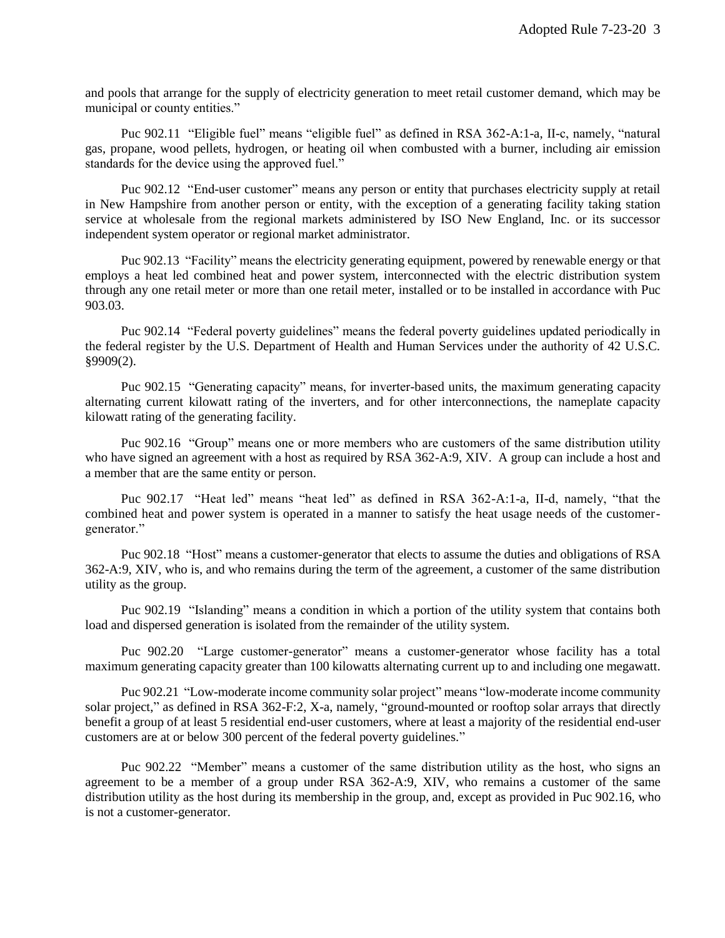and pools that arrange for the supply of electricity generation to meet retail customer demand, which may be municipal or county entities."

Puc 902.11 "Eligible fuel" means "eligible fuel" as defined in RSA 362-A:1-a, II-c, namely, "natural gas, propane, wood pellets, hydrogen, or heating oil when combusted with a burner, including air emission standards for the device using the approved fuel."

Puc 902.12 "End-user customer" means any person or entity that purchases electricity supply at retail in New Hampshire from another person or entity, with the exception of a generating facility taking station service at wholesale from the regional markets administered by ISO New England, Inc. or its successor independent system operator or regional market administrator.

Puc 902.13 "Facility" means the electricity generating equipment, powered by renewable energy or that employs a heat led combined heat and power system, interconnected with the electric distribution system through any one retail meter or more than one retail meter, installed or to be installed in accordance with Puc 903.03.

Puc 902.14 "Federal poverty guidelines" means the federal poverty guidelines updated periodically in the federal register by the U.S. Department of Health and Human Services under the authority of 42 U.S.C. §9909(2).

Puc 902.15 "Generating capacity" means, for inverter-based units, the maximum generating capacity alternating current kilowatt rating of the inverters, and for other interconnections, the nameplate capacity kilowatt rating of the generating facility.

Puc 902.16 "Group" means one or more members who are customers of the same distribution utility who have signed an agreement with a host as required by RSA 362-A:9, XIV. A group can include a host and a member that are the same entity or person.

Puc 902.17 "Heat led" means "heat led" as defined in RSA 362-A:1-a, II-d, namely, "that the combined heat and power system is operated in a manner to satisfy the heat usage needs of the customergenerator."

Puc 902.18 "Host" means a customer-generator that elects to assume the duties and obligations of RSA 362-A:9, XIV, who is, and who remains during the term of the agreement, a customer of the same distribution utility as the group.

Puc 902.19 "Islanding" means a condition in which a portion of the utility system that contains both load and dispersed generation is isolated from the remainder of the utility system.

Puc 902.20 "Large customer-generator" means a customer-generator whose facility has a total maximum generating capacity greater than 100 kilowatts alternating current up to and including one megawatt.

Puc 902.21 "Low-moderate income community solar project" means "low-moderate income community solar project," as defined in RSA 362-F:2, X-a, namely, "ground-mounted or rooftop solar arrays that directly benefit a group of at least 5 residential end-user customers, where at least a majority of the residential end-user customers are at or below 300 percent of the federal poverty guidelines."

Puc 902.22 "Member" means a customer of the same distribution utility as the host, who signs an agreement to be a member of a group under RSA 362-A:9, XIV, who remains a customer of the same distribution utility as the host during its membership in the group, and, except as provided in Puc 902.16, who is not a customer-generator.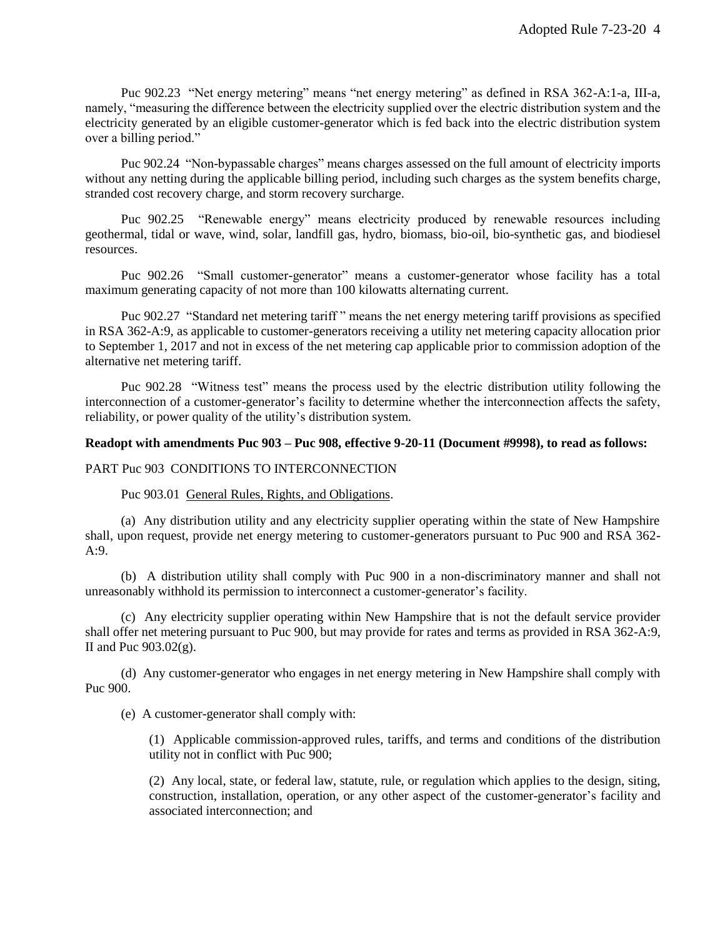Puc 902.23 "Net energy metering" means "net energy metering" as defined in RSA 362-A:1-a, III-a, namely, "measuring the difference between the electricity supplied over the electric distribution system and the electricity generated by an eligible customer-generator which is fed back into the electric distribution system over a billing period."

Puc 902.24 "Non-bypassable charges" means charges assessed on the full amount of electricity imports without any netting during the applicable billing period, including such charges as the system benefits charge, stranded cost recovery charge, and storm recovery surcharge.

Puc 902.25 "Renewable energy" means electricity produced by renewable resources including geothermal, tidal or wave, wind, solar, landfill gas, hydro, biomass, bio-oil, bio-synthetic gas, and biodiesel resources.

Puc 902.26 "Small customer-generator" means a customer-generator whose facility has a total maximum generating capacity of not more than 100 kilowatts alternating current.

Puc 902.27 "Standard net metering tariff" means the net energy metering tariff provisions as specified in RSA 362-A:9, as applicable to customer-generators receiving a utility net metering capacity allocation prior to September 1, 2017 and not in excess of the net metering cap applicable prior to commission adoption of the alternative net metering tariff.

Puc 902.28 "Witness test" means the process used by the electric distribution utility following the interconnection of a customer-generator's facility to determine whether the interconnection affects the safety, reliability, or power quality of the utility's distribution system.

# **Readopt with amendments Puc 903 – Puc 908, effective 9-20-11 (Document #9998), to read as follows:**

# PART Puc 903 CONDITIONS TO INTERCONNECTION

#### Puc 903.01 General Rules, Rights, and Obligations.

(a) Any distribution utility and any electricity supplier operating within the state of New Hampshire shall, upon request, provide net energy metering to customer-generators pursuant to Puc 900 and RSA 362- A:9.

(b) A distribution utility shall comply with Puc 900 in a non-discriminatory manner and shall not unreasonably withhold its permission to interconnect a customer-generator's facility.

(c) Any electricity supplier operating within New Hampshire that is not the default service provider shall offer net metering pursuant to Puc 900, but may provide for rates and terms as provided in RSA 362-A:9, II and Puc  $903.02(g)$ .

(d) Any customer-generator who engages in net energy metering in New Hampshire shall comply with Puc 900.

(e) A customer-generator shall comply with:

(1) Applicable commission-approved rules, tariffs, and terms and conditions of the distribution utility not in conflict with Puc 900;

(2) Any local, state, or federal law, statute, rule, or regulation which applies to the design, siting, construction, installation, operation, or any other aspect of the customer-generator's facility and associated interconnection; and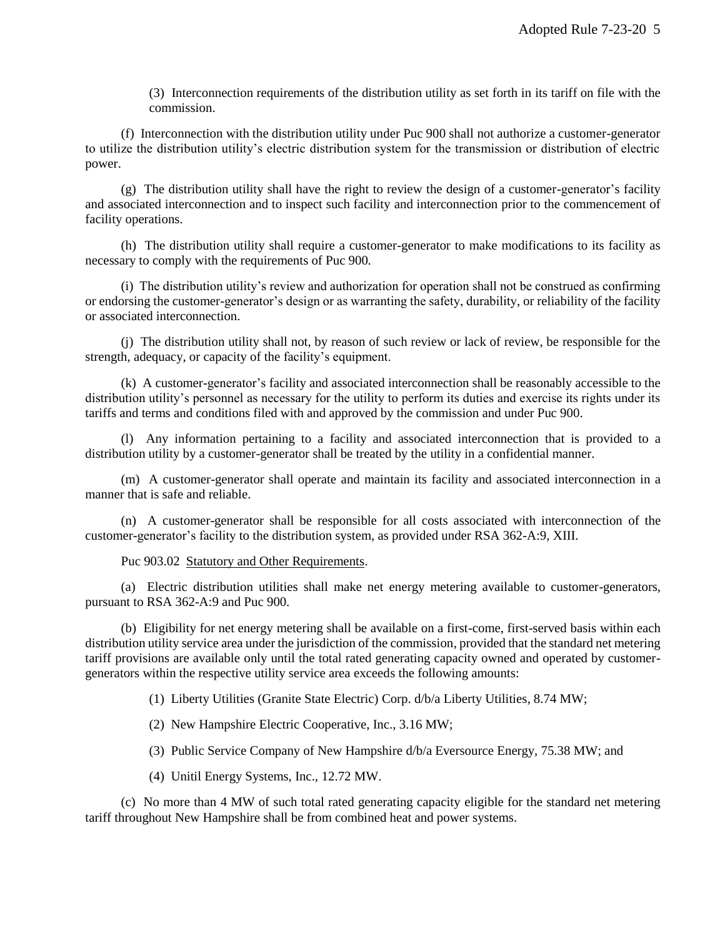(3) Interconnection requirements of the distribution utility as set forth in its tariff on file with the commission.

(f) Interconnection with the distribution utility under Puc 900 shall not authorize a customer-generator to utilize the distribution utility's electric distribution system for the transmission or distribution of electric power.

(g) The distribution utility shall have the right to review the design of a customer-generator's facility and associated interconnection and to inspect such facility and interconnection prior to the commencement of facility operations.

(h) The distribution utility shall require a customer-generator to make modifications to its facility as necessary to comply with the requirements of Puc 900.

(i) The distribution utility's review and authorization for operation shall not be construed as confirming or endorsing the customer-generator's design or as warranting the safety, durability, or reliability of the facility or associated interconnection.

(j) The distribution utility shall not, by reason of such review or lack of review, be responsible for the strength, adequacy, or capacity of the facility's equipment.

(k) A customer-generator's facility and associated interconnection shall be reasonably accessible to the distribution utility's personnel as necessary for the utility to perform its duties and exercise its rights under its tariffs and terms and conditions filed with and approved by the commission and under Puc 900.

(l) Any information pertaining to a facility and associated interconnection that is provided to a distribution utility by a customer-generator shall be treated by the utility in a confidential manner.

(m) A customer-generator shall operate and maintain its facility and associated interconnection in a manner that is safe and reliable.

(n) A customer-generator shall be responsible for all costs associated with interconnection of the customer-generator's facility to the distribution system, as provided under RSA 362-A:9, XIII.

# Puc 903.02 Statutory and Other Requirements.

(a) Electric distribution utilities shall make net energy metering available to customer-generators, pursuant to RSA 362-A:9 and Puc 900.

(b) Eligibility for net energy metering shall be available on a first-come, first-served basis within each distribution utility service area under the jurisdiction of the commission, provided that the standard net metering tariff provisions are available only until the total rated generating capacity owned and operated by customergenerators within the respective utility service area exceeds the following amounts:

(1) Liberty Utilities (Granite State Electric) Corp. d/b/a Liberty Utilities, 8.74 MW;

- (2) New Hampshire Electric Cooperative, Inc., 3.16 MW;
- (3) Public Service Company of New Hampshire d/b/a Eversource Energy, 75.38 MW; and
- (4) Unitil Energy Systems, Inc., 12.72 MW.

(c) No more than 4 MW of such total rated generating capacity eligible for the standard net metering tariff throughout New Hampshire shall be from combined heat and power systems.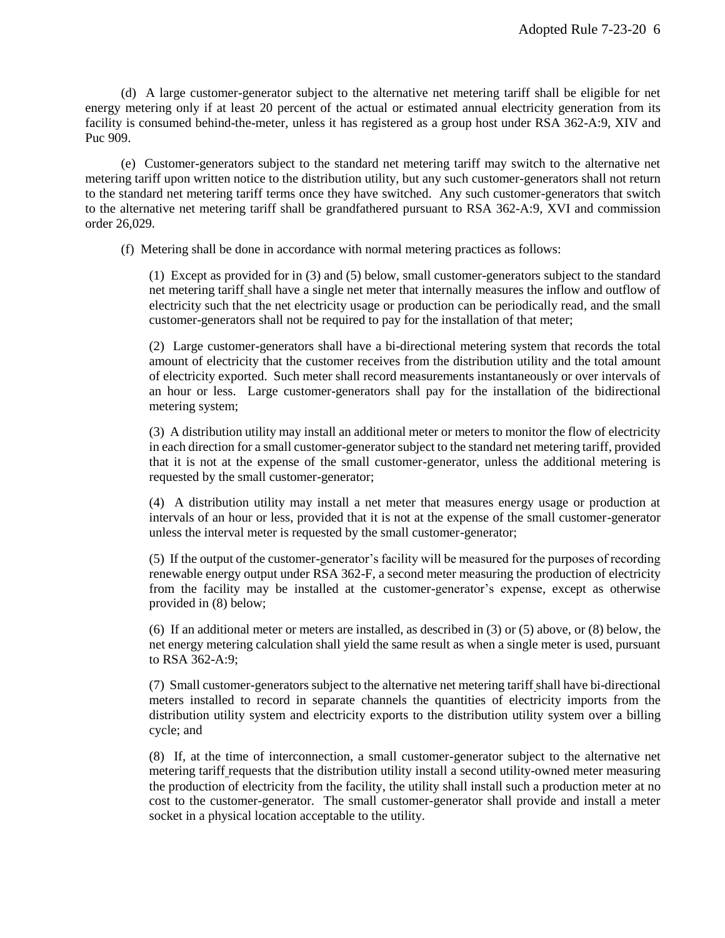(d) A large customer-generator subject to the alternative net metering tariff shall be eligible for net energy metering only if at least 20 percent of the actual or estimated annual electricity generation from its facility is consumed behind-the-meter, unless it has registered as a group host under RSA 362-A:9, XIV and Puc 909.

(e) Customer-generators subject to the standard net metering tariff may switch to the alternative net metering tariff upon written notice to the distribution utility, but any such customer-generators shall not return to the standard net metering tariff terms once they have switched. Any such customer-generators that switch to the alternative net metering tariff shall be grandfathered pursuant to RSA 362-A:9, XVI and commission order 26,029.

(f) Metering shall be done in accordance with normal metering practices as follows:

(1) Except as provided for in (3) and (5) below, small customer-generators subject to the standard net metering tariff shall have a single net meter that internally measures the inflow and outflow of electricity such that the net electricity usage or production can be periodically read, and the small customer-generators shall not be required to pay for the installation of that meter;

(2) Large customer-generators shall have a bi-directional metering system that records the total amount of electricity that the customer receives from the distribution utility and the total amount of electricity exported. Such meter shall record measurements instantaneously or over intervals of an hour or less. Large customer-generators shall pay for the installation of the bidirectional metering system;

(3) A distribution utility may install an additional meter or meters to monitor the flow of electricity in each direction for a small customer-generator subject to the standard net metering tariff, provided that it is not at the expense of the small customer-generator, unless the additional metering is requested by the small customer-generator;

(4) A distribution utility may install a net meter that measures energy usage or production at intervals of an hour or less, provided that it is not at the expense of the small customer-generator unless the interval meter is requested by the small customer-generator;

(5) If the output of the customer-generator's facility will be measured for the purposes of recording renewable energy output under RSA 362-F, a second meter measuring the production of electricity from the facility may be installed at the customer-generator's expense, except as otherwise provided in (8) below;

(6) If an additional meter or meters are installed, as described in (3) or (5) above, or (8) below, the net energy metering calculation shall yield the same result as when a single meter is used, pursuant to RSA 362-A:9;

(7) Small customer-generators subject to the alternative net metering tariff shall have bi-directional meters installed to record in separate channels the quantities of electricity imports from the distribution utility system and electricity exports to the distribution utility system over a billing cycle; and

(8) If, at the time of interconnection, a small customer-generator subject to the alternative net metering tariff requests that the distribution utility install a second utility-owned meter measuring the production of electricity from the facility, the utility shall install such a production meter at no cost to the customer-generator. The small customer-generator shall provide and install a meter socket in a physical location acceptable to the utility.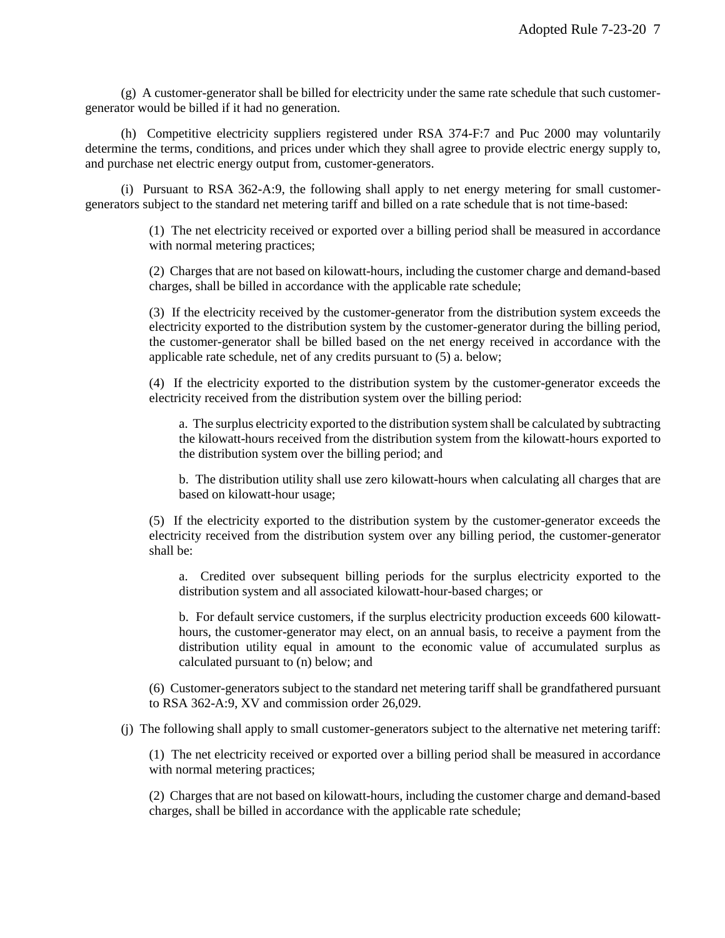(g) A customer-generator shall be billed for electricity under the same rate schedule that such customergenerator would be billed if it had no generation.

(h) Competitive electricity suppliers registered under RSA 374-F:7 and Puc 2000 may voluntarily determine the terms, conditions, and prices under which they shall agree to provide electric energy supply to, and purchase net electric energy output from, customer-generators.

(i) Pursuant to RSA 362-A:9, the following shall apply to net energy metering for small customergenerators subject to the standard net metering tariff and billed on a rate schedule that is not time-based:

> (1) The net electricity received or exported over a billing period shall be measured in accordance with normal metering practices;

> (2) Charges that are not based on kilowatt-hours, including the customer charge and demand-based charges, shall be billed in accordance with the applicable rate schedule;

> (3) If the electricity received by the customer-generator from the distribution system exceeds the electricity exported to the distribution system by the customer-generator during the billing period, the customer-generator shall be billed based on the net energy received in accordance with the applicable rate schedule, net of any credits pursuant to (5) a. below;

> (4) If the electricity exported to the distribution system by the customer-generator exceeds the electricity received from the distribution system over the billing period:

a. The surplus electricity exported to the distribution system shall be calculated by subtracting the kilowatt-hours received from the distribution system from the kilowatt-hours exported to the distribution system over the billing period; and

b. The distribution utility shall use zero kilowatt-hours when calculating all charges that are based on kilowatt-hour usage;

(5) If the electricity exported to the distribution system by the customer-generator exceeds the electricity received from the distribution system over any billing period, the customer-generator shall be:

a. Credited over subsequent billing periods for the surplus electricity exported to the distribution system and all associated kilowatt-hour-based charges; or

b. For default service customers, if the surplus electricity production exceeds 600 kilowatthours, the customer-generator may elect, on an annual basis, to receive a payment from the distribution utility equal in amount to the economic value of accumulated surplus as calculated pursuant to (n) below; and

(6) Customer-generators subject to the standard net metering tariff shall be grandfathered pursuant to RSA 362-A:9, XV and commission order 26,029.

(j) The following shall apply to small customer-generators subject to the alternative net metering tariff:

(1) The net electricity received or exported over a billing period shall be measured in accordance with normal metering practices;

(2) Charges that are not based on kilowatt-hours, including the customer charge and demand-based charges, shall be billed in accordance with the applicable rate schedule;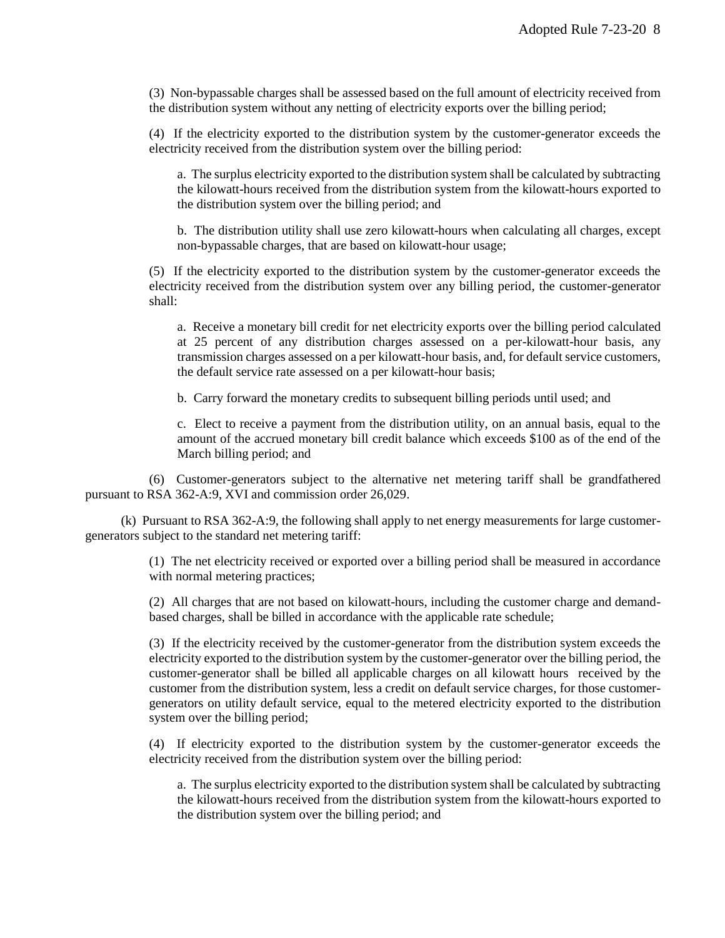(3) Non-bypassable charges shall be assessed based on the full amount of electricity received from the distribution system without any netting of electricity exports over the billing period;

(4) If the electricity exported to the distribution system by the customer-generator exceeds the electricity received from the distribution system over the billing period:

a. The surplus electricity exported to the distribution system shall be calculated by subtracting the kilowatt-hours received from the distribution system from the kilowatt-hours exported to the distribution system over the billing period; and

b. The distribution utility shall use zero kilowatt-hours when calculating all charges, except non-bypassable charges, that are based on kilowatt-hour usage;

(5) If the electricity exported to the distribution system by the customer-generator exceeds the electricity received from the distribution system over any billing period, the customer-generator shall:

a. Receive a monetary bill credit for net electricity exports over the billing period calculated at 25 percent of any distribution charges assessed on a per-kilowatt-hour basis, any transmission charges assessed on a per kilowatt-hour basis, and, for default service customers, the default service rate assessed on a per kilowatt-hour basis;

b. Carry forward the monetary credits to subsequent billing periods until used; and

c. Elect to receive a payment from the distribution utility, on an annual basis, equal to the amount of the accrued monetary bill credit balance which exceeds \$100 as of the end of the March billing period; and

(6) Customer-generators subject to the alternative net metering tariff shall be grandfathered pursuant to RSA 362-A:9, XVI and commission order 26,029.

(k) Pursuant to RSA 362-A:9, the following shall apply to net energy measurements for large customergenerators subject to the standard net metering tariff:

> (1) The net electricity received or exported over a billing period shall be measured in accordance with normal metering practices;

> (2) All charges that are not based on kilowatt-hours, including the customer charge and demandbased charges, shall be billed in accordance with the applicable rate schedule;

> (3) If the electricity received by the customer-generator from the distribution system exceeds the electricity exported to the distribution system by the customer-generator over the billing period, the customer-generator shall be billed all applicable charges on all kilowatt hours received by the customer from the distribution system, less a credit on default service charges, for those customergenerators on utility default service, equal to the metered electricity exported to the distribution system over the billing period;

> (4) If electricity exported to the distribution system by the customer-generator exceeds the electricity received from the distribution system over the billing period:

a. The surplus electricity exported to the distribution system shall be calculated by subtracting the kilowatt-hours received from the distribution system from the kilowatt-hours exported to the distribution system over the billing period; and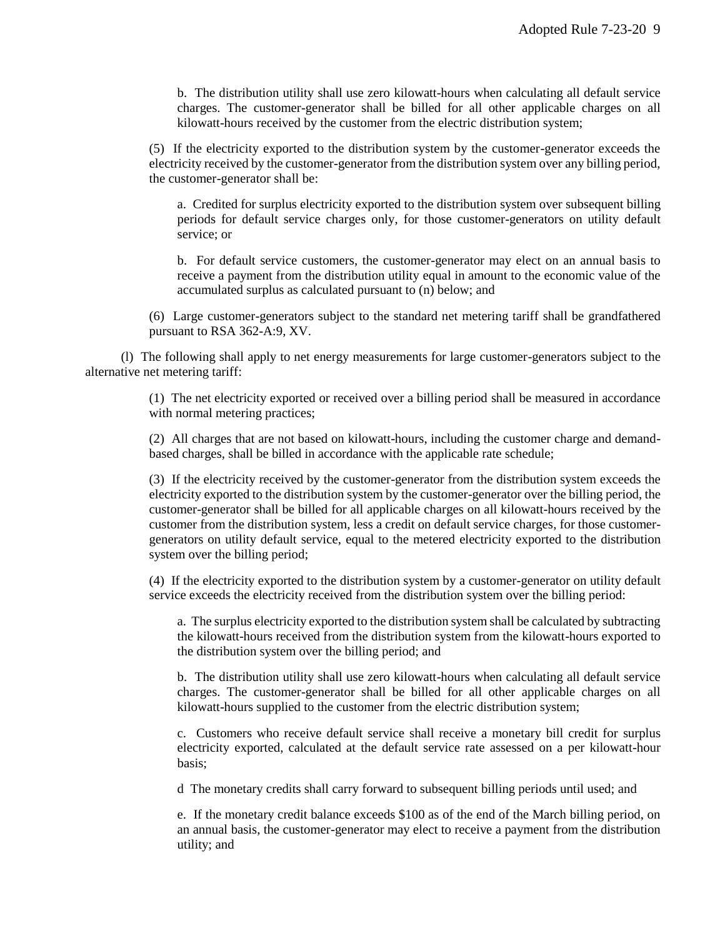b. The distribution utility shall use zero kilowatt-hours when calculating all default service charges. The customer-generator shall be billed for all other applicable charges on all kilowatt-hours received by the customer from the electric distribution system;

(5) If the electricity exported to the distribution system by the customer-generator exceeds the electricity received by the customer-generator from the distribution system over any billing period, the customer-generator shall be:

a. Credited for surplus electricity exported to the distribution system over subsequent billing periods for default service charges only, for those customer-generators on utility default service; or

b. For default service customers, the customer-generator may elect on an annual basis to receive a payment from the distribution utility equal in amount to the economic value of the accumulated surplus as calculated pursuant to (n) below; and

(6) Large customer-generators subject to the standard net metering tariff shall be grandfathered pursuant to RSA 362-A:9, XV.

(l) The following shall apply to net energy measurements for large customer-generators subject to the alternative net metering tariff:

> (1) The net electricity exported or received over a billing period shall be measured in accordance with normal metering practices;

> (2) All charges that are not based on kilowatt-hours, including the customer charge and demandbased charges, shall be billed in accordance with the applicable rate schedule;

> (3) If the electricity received by the customer-generator from the distribution system exceeds the electricity exported to the distribution system by the customer-generator over the billing period, the customer-generator shall be billed for all applicable charges on all kilowatt-hours received by the customer from the distribution system, less a credit on default service charges, for those customergenerators on utility default service, equal to the metered electricity exported to the distribution system over the billing period;

> (4) If the electricity exported to the distribution system by a customer-generator on utility default service exceeds the electricity received from the distribution system over the billing period:

a. The surplus electricity exported to the distribution system shall be calculated by subtracting the kilowatt-hours received from the distribution system from the kilowatt-hours exported to the distribution system over the billing period; and

b. The distribution utility shall use zero kilowatt-hours when calculating all default service charges. The customer-generator shall be billed for all other applicable charges on all kilowatt-hours supplied to the customer from the electric distribution system;

c. Customers who receive default service shall receive a monetary bill credit for surplus electricity exported, calculated at the default service rate assessed on a per kilowatt-hour basis;

d The monetary credits shall carry forward to subsequent billing periods until used; and

e. If the monetary credit balance exceeds \$100 as of the end of the March billing period, on an annual basis, the customer-generator may elect to receive a payment from the distribution utility; and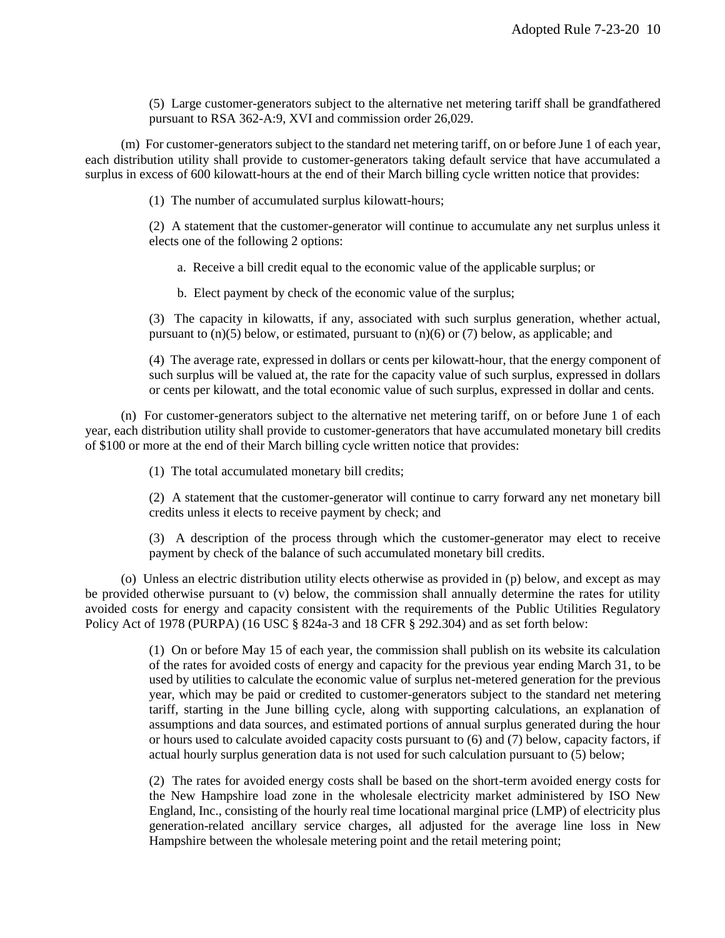(5) Large customer-generators subject to the alternative net metering tariff shall be grandfathered pursuant to RSA 362-A:9, XVI and commission order 26,029.

(m) For customer-generators subject to the standard net metering tariff, on or before June 1 of each year, each distribution utility shall provide to customer-generators taking default service that have accumulated a surplus in excess of 600 kilowatt-hours at the end of their March billing cycle written notice that provides:

(1) The number of accumulated surplus kilowatt-hours;

(2) A statement that the customer-generator will continue to accumulate any net surplus unless it elects one of the following 2 options:

a. Receive a bill credit equal to the economic value of the applicable surplus; or

b. Elect payment by check of the economic value of the surplus;

(3) The capacity in kilowatts, if any, associated with such surplus generation, whether actual, pursuant to  $(n)(5)$  below, or estimated, pursuant to  $(n)(6)$  or  $(7)$  below, as applicable; and

(4) The average rate, expressed in dollars or cents per kilowatt-hour, that the energy component of such surplus will be valued at, the rate for the capacity value of such surplus, expressed in dollars or cents per kilowatt, and the total economic value of such surplus, expressed in dollar and cents.

(n) For customer-generators subject to the alternative net metering tariff, on or before June 1 of each year, each distribution utility shall provide to customer-generators that have accumulated monetary bill credits of \$100 or more at the end of their March billing cycle written notice that provides:

(1) The total accumulated monetary bill credits;

(2) A statement that the customer-generator will continue to carry forward any net monetary bill credits unless it elects to receive payment by check; and

(3) A description of the process through which the customer-generator may elect to receive payment by check of the balance of such accumulated monetary bill credits.

(o) Unless an electric distribution utility elects otherwise as provided in (p) below, and except as may be provided otherwise pursuant to (v) below, the commission shall annually determine the rates for utility avoided costs for energy and capacity consistent with the requirements of the Public Utilities Regulatory Policy Act of 1978 (PURPA) (16 USC § 824a-3 and 18 CFR § 292.304) and as set forth below:

> (1) On or before May 15 of each year, the commission shall publish on its website its calculation of the rates for avoided costs of energy and capacity for the previous year ending March 31, to be used by utilities to calculate the economic value of surplus net-metered generation for the previous year, which may be paid or credited to customer-generators subject to the standard net metering tariff, starting in the June billing cycle, along with supporting calculations, an explanation of assumptions and data sources, and estimated portions of annual surplus generated during the hour or hours used to calculate avoided capacity costs pursuant to (6) and (7) below, capacity factors, if actual hourly surplus generation data is not used for such calculation pursuant to (5) below;

> (2) The rates for avoided energy costs shall be based on the short-term avoided energy costs for the New Hampshire load zone in the wholesale electricity market administered by ISO New England, Inc., consisting of the hourly real time locational marginal price (LMP) of electricity plus generation-related ancillary service charges, all adjusted for the average line loss in New Hampshire between the wholesale metering point and the retail metering point;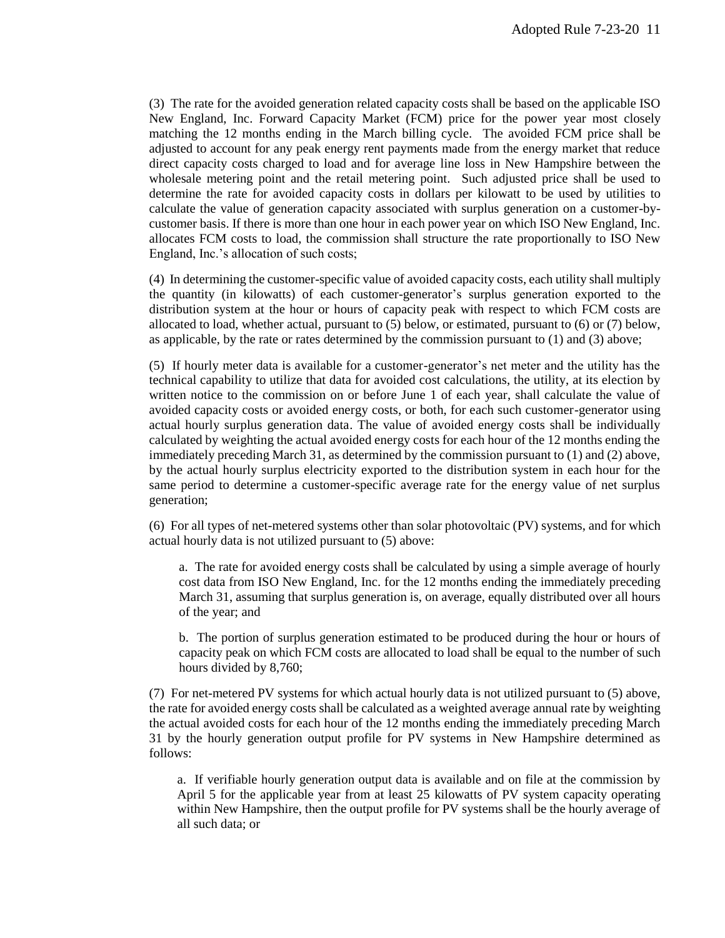(3) The rate for the avoided generation related capacity costs shall be based on the applicable ISO New England, Inc. Forward Capacity Market (FCM) price for the power year most closely matching the 12 months ending in the March billing cycle. The avoided FCM price shall be adjusted to account for any peak energy rent payments made from the energy market that reduce direct capacity costs charged to load and for average line loss in New Hampshire between the wholesale metering point and the retail metering point. Such adjusted price shall be used to determine the rate for avoided capacity costs in dollars per kilowatt to be used by utilities to calculate the value of generation capacity associated with surplus generation on a customer-bycustomer basis. If there is more than one hour in each power year on which ISO New England, Inc. allocates FCM costs to load, the commission shall structure the rate proportionally to ISO New England, Inc.'s allocation of such costs;

(4) In determining the customer-specific value of avoided capacity costs, each utility shall multiply the quantity (in kilowatts) of each customer-generator's surplus generation exported to the distribution system at the hour or hours of capacity peak with respect to which FCM costs are allocated to load, whether actual, pursuant to (5) below, or estimated, pursuant to (6) or (7) below, as applicable, by the rate or rates determined by the commission pursuant to (1) and (3) above;

(5) If hourly meter data is available for a customer-generator's net meter and the utility has the technical capability to utilize that data for avoided cost calculations, the utility, at its election by written notice to the commission on or before June 1 of each year, shall calculate the value of avoided capacity costs or avoided energy costs, or both, for each such customer-generator using actual hourly surplus generation data. The value of avoided energy costs shall be individually calculated by weighting the actual avoided energy costs for each hour of the 12 months ending the immediately preceding March 31, as determined by the commission pursuant to (1) and (2) above, by the actual hourly surplus electricity exported to the distribution system in each hour for the same period to determine a customer-specific average rate for the energy value of net surplus generation;

(6) For all types of net-metered systems other than solar photovoltaic (PV) systems, and for which actual hourly data is not utilized pursuant to (5) above:

a. The rate for avoided energy costs shall be calculated by using a simple average of hourly cost data from ISO New England, Inc. for the 12 months ending the immediately preceding March 31, assuming that surplus generation is, on average, equally distributed over all hours of the year; and

b. The portion of surplus generation estimated to be produced during the hour or hours of capacity peak on which FCM costs are allocated to load shall be equal to the number of such hours divided by 8,760;

(7) For net-metered PV systems for which actual hourly data is not utilized pursuant to (5) above, the rate for avoided energy costs shall be calculated as a weighted average annual rate by weighting the actual avoided costs for each hour of the 12 months ending the immediately preceding March 31 by the hourly generation output profile for PV systems in New Hampshire determined as follows:

a. If verifiable hourly generation output data is available and on file at the commission by April 5 for the applicable year from at least 25 kilowatts of PV system capacity operating within New Hampshire, then the output profile for PV systems shall be the hourly average of all such data; or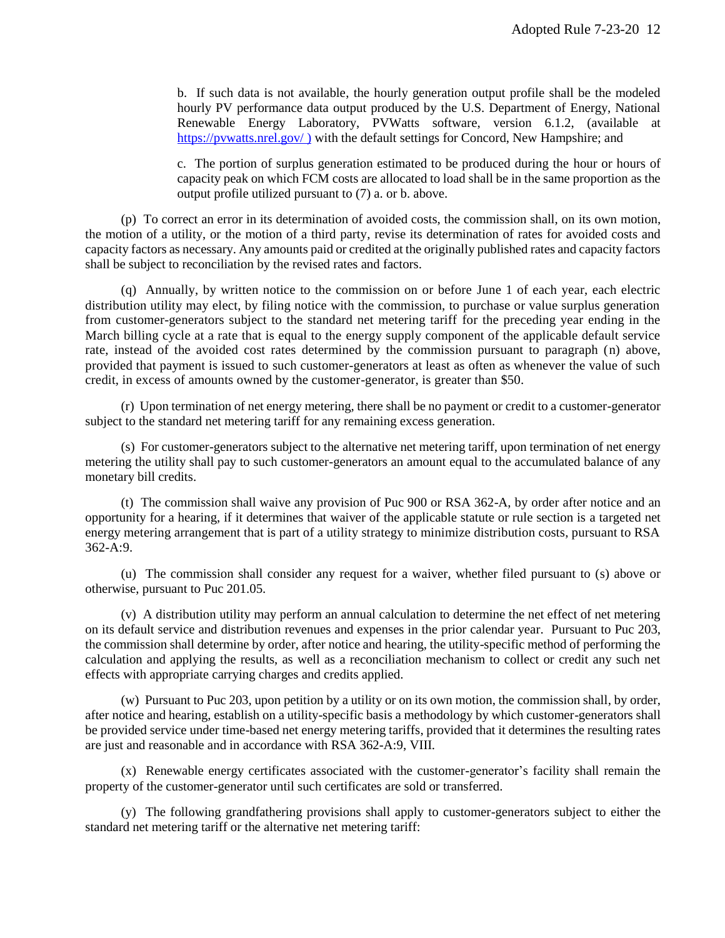b. If such data is not available, the hourly generation output profile shall be the modeled hourly PV performance data output produced by the U.S. Department of Energy, National Renewable Energy Laboratory, PVWatts software, version 6.1.2, (available a[t](http://www.nrel.gov/rredc/pvwatts/site_specific.html))  [https://pvwatts.nrel.gov/](http://www.nrel.gov/rredc/pvwatts/site_specific.html)) ) with the default settings for Concord, New Hampshire; and

c. The portion of surplus generation estimated to be produced during the hour or hours of capacity peak on which FCM costs are allocated to load shall be in the same proportion as the output profile utilized pursuant to (7) a. or b. above.

(p) To correct an error in its determination of avoided costs, the commission shall, on its own motion, the motion of a utility, or the motion of a third party, revise its determination of rates for avoided costs and capacity factors as necessary. Any amounts paid or credited at the originally published rates and capacity factors shall be subject to reconciliation by the revised rates and factors.

(q) Annually, by written notice to the commission on or before June 1 of each year, each electric distribution utility may elect, by filing notice with the commission, to purchase or value surplus generation from customer-generators subject to the standard net metering tariff for the preceding year ending in the March billing cycle at a rate that is equal to the energy supply component of the applicable default service rate, instead of the avoided cost rates determined by the commission pursuant to paragraph (n) above, provided that payment is issued to such customer-generators at least as often as whenever the value of such credit, in excess of amounts owned by the customer-generator, is greater than \$50.

(r) Upon termination of net energy metering, there shall be no payment or credit to a customer-generator subject to the standard net metering tariff for any remaining excess generation.

(s) For customer-generators subject to the alternative net metering tariff, upon termination of net energy metering the utility shall pay to such customer-generators an amount equal to the accumulated balance of any monetary bill credits.

(t) The commission shall waive any provision of Puc 900 or RSA 362-A, by order after notice and an opportunity for a hearing, if it determines that waiver of the applicable statute or rule section is a targeted net energy metering arrangement that is part of a utility strategy to minimize distribution costs, pursuant to RSA 362-A:9.

(u) The commission shall consider any request for a waiver, whether filed pursuant to (s) above or otherwise, pursuant to Puc 201.05.

(v) A distribution utility may perform an annual calculation to determine the net effect of net metering on its default service and distribution revenues and expenses in the prior calendar year. Pursuant to Puc 203, the commission shall determine by order, after notice and hearing, the utility-specific method of performing the calculation and applying the results, as well as a reconciliation mechanism to collect or credit any such net effects with appropriate carrying charges and credits applied.

(w) Pursuant to Puc 203, upon petition by a utility or on its own motion, the commission shall, by order, after notice and hearing, establish on a utility-specific basis a methodology by which customer-generators shall be provided service under time-based net energy metering tariffs, provided that it determines the resulting rates are just and reasonable and in accordance with RSA 362-A:9, VIII.

(x) Renewable energy certificates associated with the customer-generator's facility shall remain the property of the customer-generator until such certificates are sold or transferred.

(y) The following grandfathering provisions shall apply to customer-generators subject to either the standard net metering tariff or the alternative net metering tariff: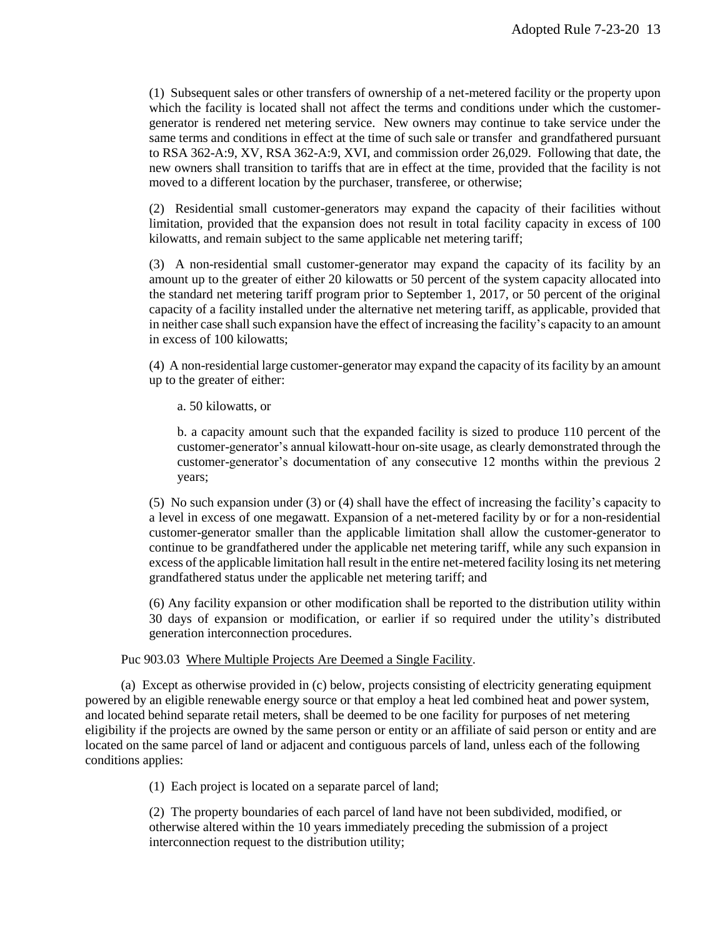(1) Subsequent sales or other transfers of ownership of a net-metered facility or the property upon which the facility is located shall not affect the terms and conditions under which the customergenerator is rendered net metering service. New owners may continue to take service under the same terms and conditions in effect at the time of such sale or transfer and grandfathered pursuant to RSA 362-A:9, XV, RSA 362-A:9, XVI, and commission order 26,029. Following that date, the new owners shall transition to tariffs that are in effect at the time, provided that the facility is not moved to a different location by the purchaser, transferee, or otherwise;

(2) Residential small customer-generators may expand the capacity of their facilities without limitation, provided that the expansion does not result in total facility capacity in excess of 100 kilowatts, and remain subject to the same applicable net metering tariff;

(3) A non-residential small customer-generator may expand the capacity of its facility by an amount up to the greater of either 20 kilowatts or 50 percent of the system capacity allocated into the standard net metering tariff program prior to September 1, 2017, or 50 percent of the original capacity of a facility installed under the alternative net metering tariff, as applicable, provided that in neither case shall such expansion have the effect of increasing the facility's capacity to an amount in excess of 100 kilowatts;

(4) A non-residential large customer-generator may expand the capacity of its facility by an amount up to the greater of either:

a. 50 kilowatts, or

b. a capacity amount such that the expanded facility is sized to produce 110 percent of the customer-generator's annual kilowatt-hour on-site usage, as clearly demonstrated through the customer-generator's documentation of any consecutive 12 months within the previous 2 years;

(5) No such expansion under (3) or (4) shall have the effect of increasing the facility's capacity to a level in excess of one megawatt. Expansion of a net-metered facility by or for a non-residential customer-generator smaller than the applicable limitation shall allow the customer-generator to continue to be grandfathered under the applicable net metering tariff, while any such expansion in excess of the applicable limitation hall result in the entire net-metered facility losing its net metering grandfathered status under the applicable net metering tariff; and

(6) Any facility expansion or other modification shall be reported to the distribution utility within 30 days of expansion or modification, or earlier if so required under the utility's distributed generation interconnection procedures.

# Puc 903.03 Where Multiple Projects Are Deemed a Single Facility.

(a) Except as otherwise provided in (c) below, projects consisting of electricity generating equipment powered by an eligible renewable energy source or that employ a heat led combined heat and power system, and located behind separate retail meters, shall be deemed to be one facility for purposes of net metering eligibility if the projects are owned by the same person or entity or an affiliate of said person or entity and are located on the same parcel of land or adjacent and contiguous parcels of land, unless each of the following conditions applies:

(1) Each project is located on a separate parcel of land;

(2) The property boundaries of each parcel of land have not been subdivided, modified, or otherwise altered within the 10 years immediately preceding the submission of a project interconnection request to the distribution utility;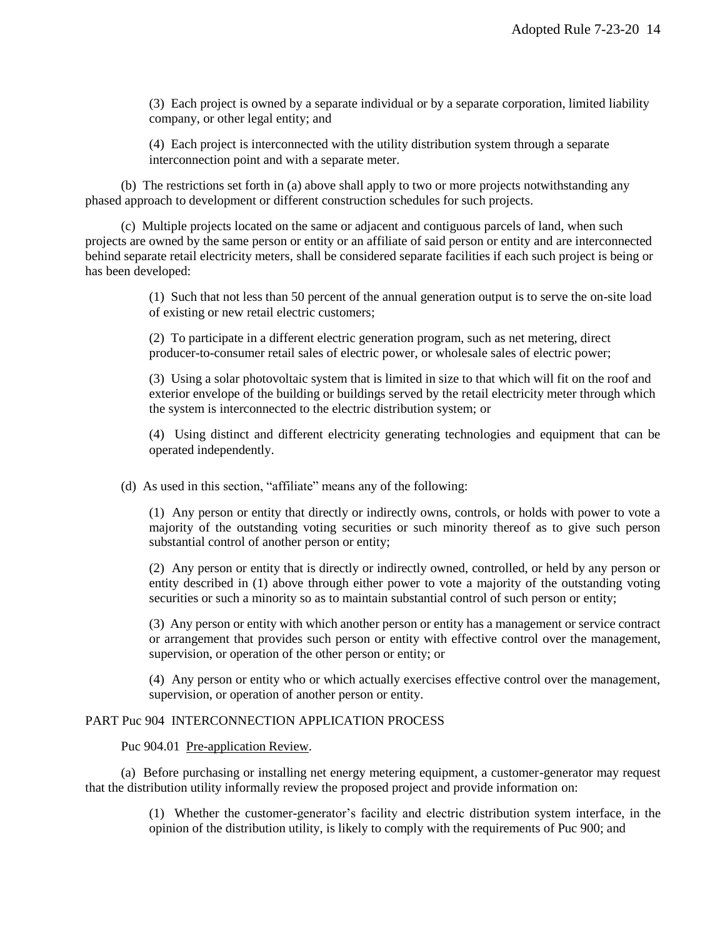(3) Each project is owned by a separate individual or by a separate corporation, limited liability company, or other legal entity; and

(4) Each project is interconnected with the utility distribution system through a separate interconnection point and with a separate meter.

(b) The restrictions set forth in (a) above shall apply to two or more projects notwithstanding any phased approach to development or different construction schedules for such projects.

(c) Multiple projects located on the same or adjacent and contiguous parcels of land, when such projects are owned by the same person or entity or an affiliate of said person or entity and are interconnected behind separate retail electricity meters, shall be considered separate facilities if each such project is being or has been developed:

> (1) Such that not less than 50 percent of the annual generation output is to serve the on-site load of existing or new retail electric customers;

(2) To participate in a different electric generation program, such as net metering, direct producer-to-consumer retail sales of electric power, or wholesale sales of electric power;

(3) Using a solar photovoltaic system that is limited in size to that which will fit on the roof and exterior envelope of the building or buildings served by the retail electricity meter through which the system is interconnected to the electric distribution system; or

(4) Using distinct and different electricity generating technologies and equipment that can be operated independently.

(d) As used in this section, "affiliate" means any of the following:

(1) Any person or entity that directly or indirectly owns, controls, or holds with power to vote a majority of the outstanding voting securities or such minority thereof as to give such person substantial control of another person or entity;

(2) Any person or entity that is directly or indirectly owned, controlled, or held by any person or entity described in (1) above through either power to vote a majority of the outstanding voting securities or such a minority so as to maintain substantial control of such person or entity;

(3) Any person or entity with which another person or entity has a management or service contract or arrangement that provides such person or entity with effective control over the management, supervision, or operation of the other person or entity; or

(4) Any person or entity who or which actually exercises effective control over the management, supervision, or operation of another person or entity.

#### PART Puc 904 INTERCONNECTION APPLICATION PROCESS

Puc 904.01 Pre-application Review.

(a) Before purchasing or installing net energy metering equipment, a customer-generator may request that the distribution utility informally review the proposed project and provide information on:

> (1) Whether the customer-generator's facility and electric distribution system interface, in the opinion of the distribution utility, is likely to comply with the requirements of Puc 900; and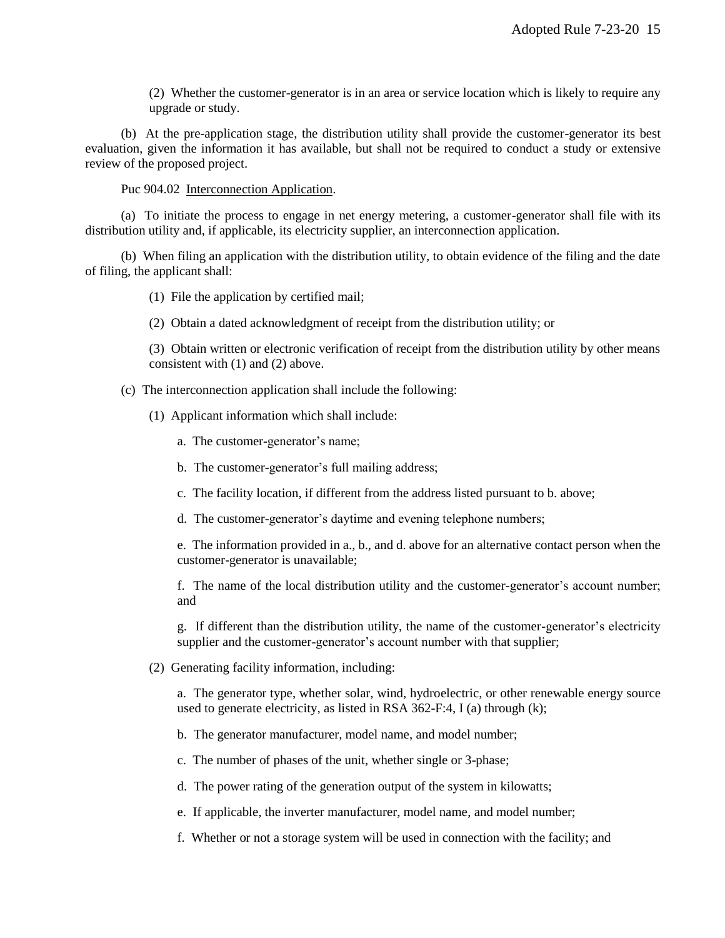(2) Whether the customer-generator is in an area or service location which is likely to require any upgrade or study.

(b) At the pre-application stage, the distribution utility shall provide the customer-generator its best evaluation, given the information it has available, but shall not be required to conduct a study or extensive review of the proposed project.

Puc 904.02 Interconnection Application.

(a) To initiate the process to engage in net energy metering, a customer-generator shall file with its distribution utility and, if applicable, its electricity supplier, an interconnection application.

(b) When filing an application with the distribution utility, to obtain evidence of the filing and the date of filing, the applicant shall:

(1) File the application by certified mail;

(2) Obtain a dated acknowledgment of receipt from the distribution utility; or

(3) Obtain written or electronic verification of receipt from the distribution utility by other means consistent with (1) and (2) above.

(c) The interconnection application shall include the following:

(1) Applicant information which shall include:

a. The customer-generator's name;

b. The customer-generator's full mailing address;

- c. The facility location, if different from the address listed pursuant to b. above;
- d. The customer-generator's daytime and evening telephone numbers;

e. The information provided in a., b., and d. above for an alternative contact person when the customer-generator is unavailable;

f. The name of the local distribution utility and the customer-generator's account number; and

g. If different than the distribution utility, the name of the customer-generator's electricity supplier and the customer-generator's account number with that supplier;

(2) Generating facility information, including:

a. The generator type, whether solar, wind, hydroelectric, or other renewable energy source used to generate electricity, as listed in RSA 362-F:4, I (a) through (k);

b. The generator manufacturer, model name, and model number;

c. The number of phases of the unit, whether single or 3-phase;

d. The power rating of the generation output of the system in kilowatts;

e. If applicable, the inverter manufacturer, model name, and model number;

f. Whether or not a storage system will be used in connection with the facility; and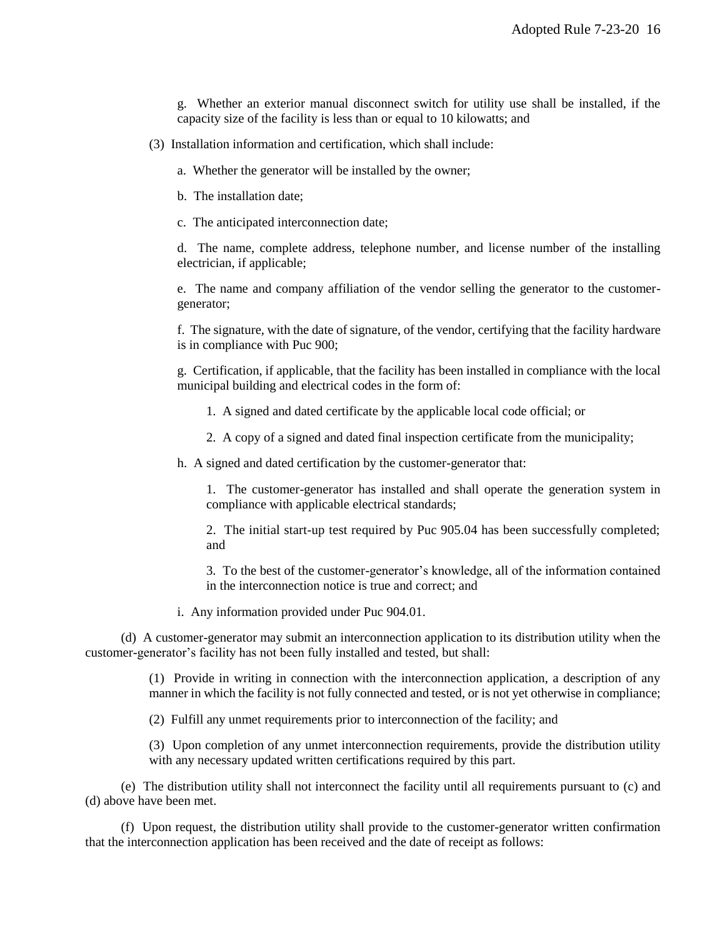g. Whether an exterior manual disconnect switch for utility use shall be installed, if the capacity size of the facility is less than or equal to 10 kilowatts; and

(3) Installation information and certification, which shall include:

a. Whether the generator will be installed by the owner;

b. The installation date;

c. The anticipated interconnection date;

d. The name, complete address, telephone number, and license number of the installing electrician, if applicable;

e. The name and company affiliation of the vendor selling the generator to the customergenerator;

f. The signature, with the date of signature, of the vendor, certifying that the facility hardware is in compliance with Puc 900;

g. Certification, if applicable, that the facility has been installed in compliance with the local municipal building and electrical codes in the form of:

1. A signed and dated certificate by the applicable local code official; or

2. A copy of a signed and dated final inspection certificate from the municipality;

h. A signed and dated certification by the customer-generator that:

1. The customer-generator has installed and shall operate the generation system in compliance with applicable electrical standards;

2. The initial start-up test required by Puc 905.04 has been successfully completed; and

3. To the best of the customer-generator's knowledge, all of the information contained in the interconnection notice is true and correct; and

i. Any information provided under Puc 904.01.

(d) A customer-generator may submit an interconnection application to its distribution utility when the customer-generator's facility has not been fully installed and tested, but shall:

> (1) Provide in writing in connection with the interconnection application, a description of any manner in which the facility is not fully connected and tested, or is not yet otherwise in compliance;

(2) Fulfill any unmet requirements prior to interconnection of the facility; and

(3) Upon completion of any unmet interconnection requirements, provide the distribution utility with any necessary updated written certifications required by this part.

(e) The distribution utility shall not interconnect the facility until all requirements pursuant to (c) and (d) above have been met.

(f) Upon request, the distribution utility shall provide to the customer-generator written confirmation that the interconnection application has been received and the date of receipt as follows: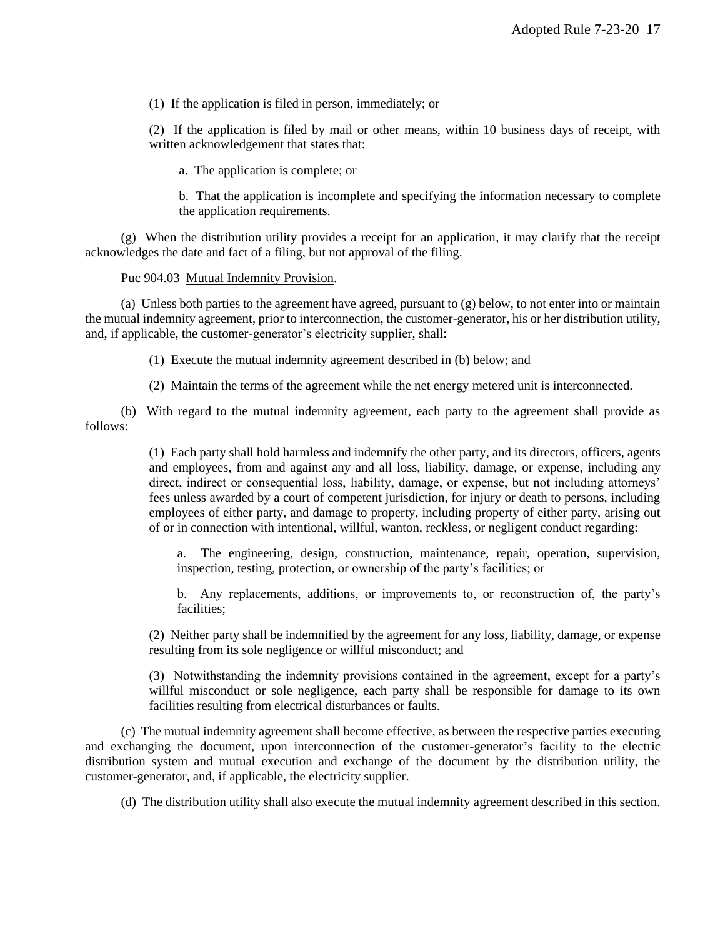(1) If the application is filed in person, immediately; or

(2) If the application is filed by mail or other means, within 10 business days of receipt, with written acknowledgement that states that:

a. The application is complete; or

b. That the application is incomplete and specifying the information necessary to complete the application requirements.

(g) When the distribution utility provides a receipt for an application, it may clarify that the receipt acknowledges the date and fact of a filing, but not approval of the filing.

Puc 904.03 Mutual Indemnity Provision.

(a) Unless both parties to the agreement have agreed, pursuant to (g) below, to not enter into or maintain the mutual indemnity agreement, prior to interconnection, the customer-generator, his or her distribution utility, and, if applicable, the customer-generator's electricity supplier, shall:

(1) Execute the mutual indemnity agreement described in (b) below; and

(2) Maintain the terms of the agreement while the net energy metered unit is interconnected.

(b) With regard to the mutual indemnity agreement, each party to the agreement shall provide as follows:

> (1) Each party shall hold harmless and indemnify the other party, and its directors, officers, agents and employees, from and against any and all loss, liability, damage, or expense, including any direct, indirect or consequential loss, liability, damage, or expense, but not including attorneys' fees unless awarded by a court of competent jurisdiction, for injury or death to persons, including employees of either party, and damage to property, including property of either party, arising out of or in connection with intentional, willful, wanton, reckless, or negligent conduct regarding:

a. The engineering, design, construction, maintenance, repair, operation, supervision, inspection, testing, protection, or ownership of the party's facilities; or

b. Any replacements, additions, or improvements to, or reconstruction of, the party's facilities;

(2) Neither party shall be indemnified by the agreement for any loss, liability, damage, or expense resulting from its sole negligence or willful misconduct; and

(3) Notwithstanding the indemnity provisions contained in the agreement, except for a party's willful misconduct or sole negligence, each party shall be responsible for damage to its own facilities resulting from electrical disturbances or faults.

(c) The mutual indemnity agreement shall become effective, as between the respective parties executing and exchanging the document, upon interconnection of the customer-generator's facility to the electric distribution system and mutual execution and exchange of the document by the distribution utility, the customer-generator, and, if applicable, the electricity supplier.

(d) The distribution utility shall also execute the mutual indemnity agreement described in this section.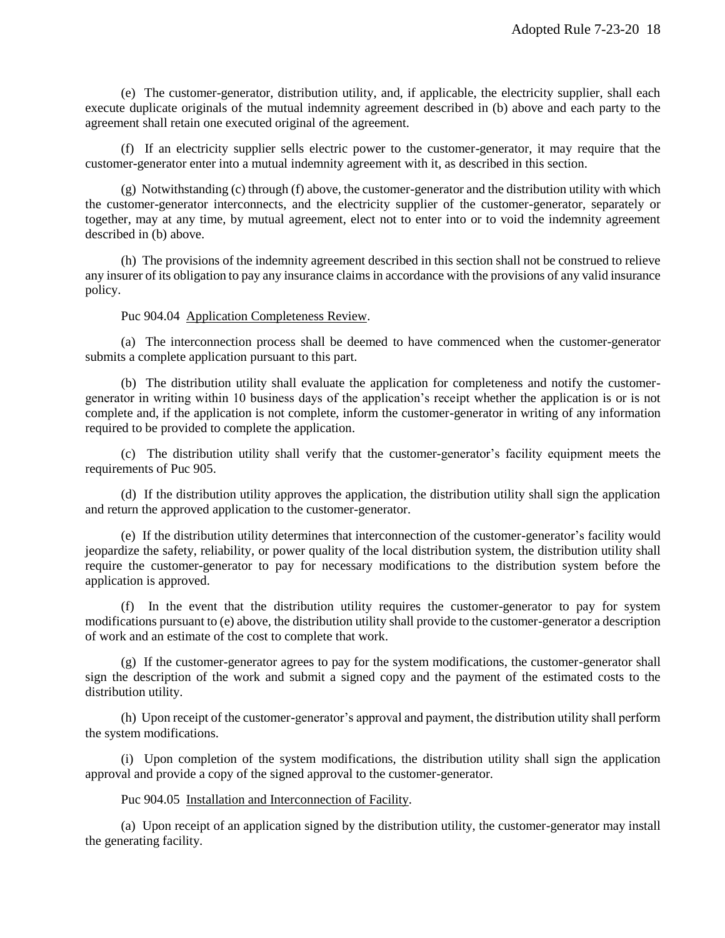(e) The customer-generator, distribution utility, and, if applicable, the electricity supplier, shall each execute duplicate originals of the mutual indemnity agreement described in (b) above and each party to the agreement shall retain one executed original of the agreement.

(f) If an electricity supplier sells electric power to the customer-generator, it may require that the customer-generator enter into a mutual indemnity agreement with it, as described in this section.

(g) Notwithstanding (c) through (f) above, the customer-generator and the distribution utility with which the customer-generator interconnects, and the electricity supplier of the customer-generator, separately or together, may at any time, by mutual agreement, elect not to enter into or to void the indemnity agreement described in (b) above.

(h) The provisions of the indemnity agreement described in this section shall not be construed to relieve any insurer of its obligation to pay any insurance claims in accordance with the provisions of any valid insurance policy.

#### Puc 904.04 Application Completeness Review.

(a) The interconnection process shall be deemed to have commenced when the customer-generator submits a complete application pursuant to this part.

(b) The distribution utility shall evaluate the application for completeness and notify the customergenerator in writing within 10 business days of the application's receipt whether the application is or is not complete and, if the application is not complete, inform the customer-generator in writing of any information required to be provided to complete the application.

(c) The distribution utility shall verify that the customer-generator's facility equipment meets the requirements of Puc 905.

(d) If the distribution utility approves the application, the distribution utility shall sign the application and return the approved application to the customer-generator.

(e) If the distribution utility determines that interconnection of the customer-generator's facility would jeopardize the safety, reliability, or power quality of the local distribution system, the distribution utility shall require the customer-generator to pay for necessary modifications to the distribution system before the application is approved.

(f) In the event that the distribution utility requires the customer-generator to pay for system modifications pursuant to (e) above, the distribution utility shall provide to the customer-generator a description of work and an estimate of the cost to complete that work.

(g) If the customer-generator agrees to pay for the system modifications, the customer-generator shall sign the description of the work and submit a signed copy and the payment of the estimated costs to the distribution utility.

(h) Upon receipt of the customer-generator's approval and payment, the distribution utility shall perform the system modifications.

(i) Upon completion of the system modifications, the distribution utility shall sign the application approval and provide a copy of the signed approval to the customer-generator.

Puc 904.05 Installation and Interconnection of Facility.

(a) Upon receipt of an application signed by the distribution utility, the customer-generator may install the generating facility.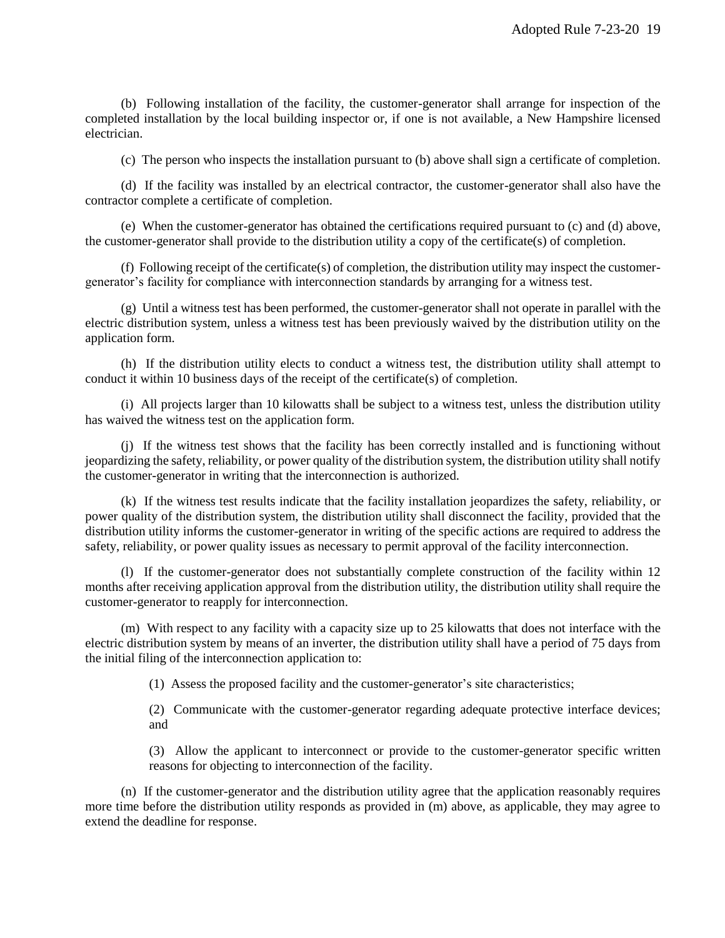(b) Following installation of the facility, the customer-generator shall arrange for inspection of the completed installation by the local building inspector or, if one is not available, a New Hampshire licensed electrician.

(c) The person who inspects the installation pursuant to (b) above shall sign a certificate of completion.

(d) If the facility was installed by an electrical contractor, the customer-generator shall also have the contractor complete a certificate of completion.

(e) When the customer-generator has obtained the certifications required pursuant to (c) and (d) above, the customer-generator shall provide to the distribution utility a copy of the certificate(s) of completion.

(f) Following receipt of the certificate(s) of completion, the distribution utility may inspect the customergenerator's facility for compliance with interconnection standards by arranging for a witness test.

(g) Until a witness test has been performed, the customer-generator shall not operate in parallel with the electric distribution system, unless a witness test has been previously waived by the distribution utility on the application form.

(h) If the distribution utility elects to conduct a witness test, the distribution utility shall attempt to conduct it within 10 business days of the receipt of the certificate(s) of completion.

(i) All projects larger than 10 kilowatts shall be subject to a witness test, unless the distribution utility has waived the witness test on the application form.

(j) If the witness test shows that the facility has been correctly installed and is functioning without jeopardizing the safety, reliability, or power quality of the distribution system, the distribution utility shall notify the customer-generator in writing that the interconnection is authorized.

(k) If the witness test results indicate that the facility installation jeopardizes the safety, reliability, or power quality of the distribution system, the distribution utility shall disconnect the facility, provided that the distribution utility informs the customer-generator in writing of the specific actions are required to address the safety, reliability, or power quality issues as necessary to permit approval of the facility interconnection.

(l) If the customer-generator does not substantially complete construction of the facility within 12 months after receiving application approval from the distribution utility, the distribution utility shall require the customer-generator to reapply for interconnection.

(m) With respect to any facility with a capacity size up to 25 kilowatts that does not interface with the electric distribution system by means of an inverter, the distribution utility shall have a period of 75 days from the initial filing of the interconnection application to:

(1) Assess the proposed facility and the customer-generator's site characteristics;

(2) Communicate with the customer-generator regarding adequate protective interface devices; and

(3) Allow the applicant to interconnect or provide to the customer-generator specific written reasons for objecting to interconnection of the facility.

(n) If the customer-generator and the distribution utility agree that the application reasonably requires more time before the distribution utility responds as provided in (m) above, as applicable, they may agree to extend the deadline for response.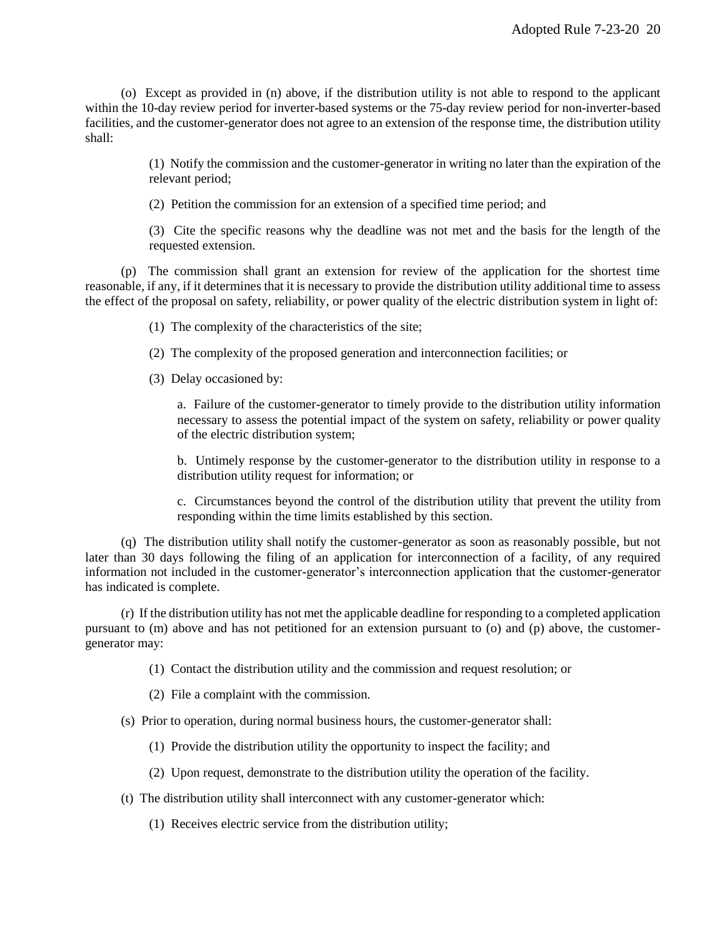(o) Except as provided in (n) above, if the distribution utility is not able to respond to the applicant within the 10-day review period for inverter-based systems or the 75-day review period for non-inverter-based facilities, and the customer-generator does not agree to an extension of the response time, the distribution utility shall:

> (1) Notify the commission and the customer-generator in writing no later than the expiration of the relevant period;

(2) Petition the commission for an extension of a specified time period; and

(3) Cite the specific reasons why the deadline was not met and the basis for the length of the requested extension.

(p) The commission shall grant an extension for review of the application for the shortest time reasonable, if any, if it determines that it is necessary to provide the distribution utility additional time to assess the effect of the proposal on safety, reliability, or power quality of the electric distribution system in light of:

(1) The complexity of the characteristics of the site;

(2) The complexity of the proposed generation and interconnection facilities; or

(3) Delay occasioned by:

a. Failure of the customer-generator to timely provide to the distribution utility information necessary to assess the potential impact of the system on safety, reliability or power quality of the electric distribution system;

b. Untimely response by the customer-generator to the distribution utility in response to a distribution utility request for information; or

c. Circumstances beyond the control of the distribution utility that prevent the utility from responding within the time limits established by this section.

(q) The distribution utility shall notify the customer-generator as soon as reasonably possible, but not later than 30 days following the filing of an application for interconnection of a facility, of any required information not included in the customer-generator's interconnection application that the customer-generator has indicated is complete.

(r) If the distribution utility has not met the applicable deadline for responding to a completed application pursuant to (m) above and has not petitioned for an extension pursuant to (o) and (p) above, the customergenerator may:

(1) Contact the distribution utility and the commission and request resolution; or

(2) File a complaint with the commission.

(s) Prior to operation, during normal business hours, the customer-generator shall:

- (1) Provide the distribution utility the opportunity to inspect the facility; and
- (2) Upon request, demonstrate to the distribution utility the operation of the facility.
- (t) The distribution utility shall interconnect with any customer-generator which:
	- (1) Receives electric service from the distribution utility;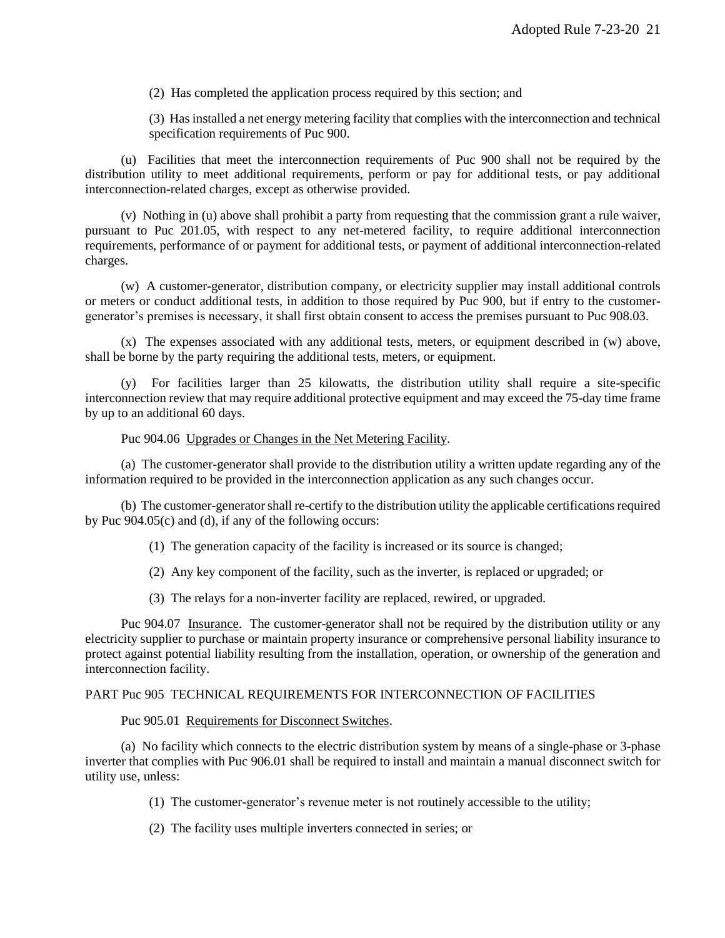(2) Has completed the application process required by this section; and

(3) Has installed a net energy metering facility that complies with the interconnection and technical specification requirements of Puc 900.

(u) Facilities that meet the interconnection requirements of Puc 900 shall not be required by the distribution utility to meet additional requirements, perform or pay for additional tests, or pay additional interconnection-related charges, except as otherwise provided.

(v) Nothing in (u) above shall prohibit a party from requesting that the commission grant a rule waiver, pursuant to Puc 201.05, with respect to any net-metered facility, to require additional interconnection requirements, performance of or payment for additional tests, or payment of additional interconnection-related charges.

(w) A customer-generator, distribution company, or electricity supplier may install additional controls or meters or conduct additional tests, in addition to those required by Puc 900, but if entry to the customergenerator's premises is necessary, it shall first obtain consent to access the premises pursuant to Puc 908.03.

(x) The expenses associated with any additional tests, meters, or equipment described in (w) above, shall be borne by the party requiring the additional tests, meters, or equipment.

(y) For facilities larger than 25 kilowatts, the distribution utility shall require a site-specific interconnection review that may require additional protective equipment and may exceed the 75-day time frame by up to an additional 60 days.

#### Puc 904.06 Upgrades or Changes in the Net Metering Facility.

(a) The customer-generator shall provide to the distribution utility a written update regarding any of the information required to be provided in the interconnection application as any such changes occur.

(b) The customer-generator shall re-certify to the distribution utility the applicable certifications required by Puc 904.05(c) and (d), if any of the following occurs:

- (1) The generation capacity of the facility is increased or its source is changed;
- (2) Any key component of the facility, such as the inverter, is replaced or upgraded; or
- (3) The relays for a non-inverter facility are replaced, rewired, or upgraded.

Puc 904.07 Insurance. The customer-generator shall not be required by the distribution utility or any electricity supplier to purchase or maintain property insurance or comprehensive personal liability insurance to protect against potential liability resulting from the installation, operation, or ownership of the generation and interconnection facility.

#### PART Puc 905 TECHNICAL REQUIREMENTS FOR INTERCONNECTION OF FACILITIES

Puc 905.01 Requirements for Disconnect Switches.

(a) No facility which connects to the electric distribution system by means of a single-phase or 3-phase inverter that complies with Puc 906.01 shall be required to install and maintain a manual disconnect switch for utility use, unless:

- (1) The customer-generator's revenue meter is not routinely accessible to the utility;
- (2) The facility uses multiple inverters connected in series; or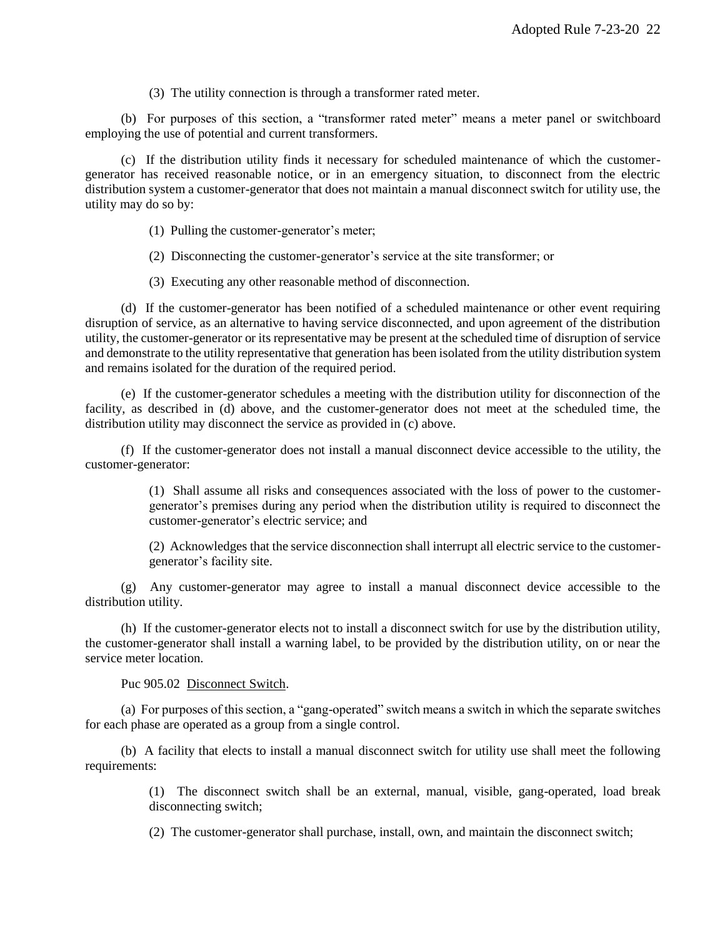(3) The utility connection is through a transformer rated meter.

(b) For purposes of this section, a "transformer rated meter" means a meter panel or switchboard employing the use of potential and current transformers.

(c) If the distribution utility finds it necessary for scheduled maintenance of which the customergenerator has received reasonable notice, or in an emergency situation, to disconnect from the electric distribution system a customer-generator that does not maintain a manual disconnect switch for utility use, the utility may do so by:

- (1) Pulling the customer-generator's meter;
- (2) Disconnecting the customer-generator's service at the site transformer; or
- (3) Executing any other reasonable method of disconnection.

(d) If the customer-generator has been notified of a scheduled maintenance or other event requiring disruption of service, as an alternative to having service disconnected, and upon agreement of the distribution utility, the customer-generator or its representative may be present at the scheduled time of disruption of service and demonstrate to the utility representative that generation has been isolated from the utility distribution system and remains isolated for the duration of the required period.

(e) If the customer-generator schedules a meeting with the distribution utility for disconnection of the facility, as described in (d) above, and the customer-generator does not meet at the scheduled time, the distribution utility may disconnect the service as provided in (c) above.

(f) If the customer-generator does not install a manual disconnect device accessible to the utility, the customer-generator:

> (1) Shall assume all risks and consequences associated with the loss of power to the customergenerator's premises during any period when the distribution utility is required to disconnect the customer-generator's electric service; and

> (2) Acknowledges that the service disconnection shall interrupt all electric service to the customergenerator's facility site.

(g) Any customer-generator may agree to install a manual disconnect device accessible to the distribution utility.

(h) If the customer-generator elects not to install a disconnect switch for use by the distribution utility, the customer-generator shall install a warning label, to be provided by the distribution utility, on or near the service meter location.

Puc 905.02 Disconnect Switch.

(a) For purposes of this section, a "gang-operated" switch means a switch in which the separate switches for each phase are operated as a group from a single control.

(b) A facility that elects to install a manual disconnect switch for utility use shall meet the following requirements:

> (1) The disconnect switch shall be an external, manual, visible, gang-operated, load break disconnecting switch;

(2) The customer-generator shall purchase, install, own, and maintain the disconnect switch;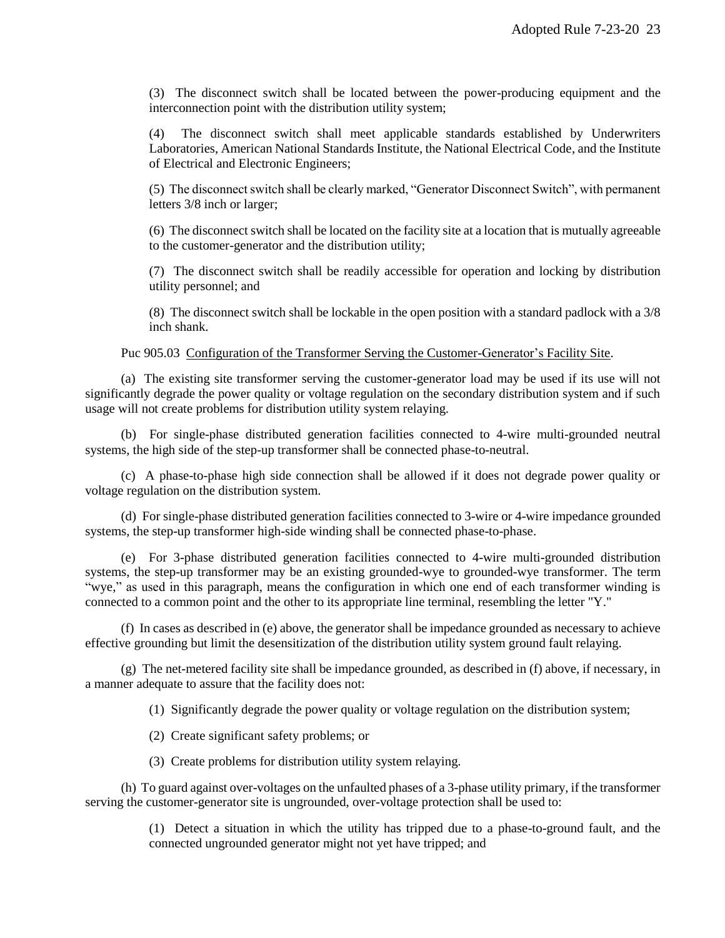(3) The disconnect switch shall be located between the power-producing equipment and the interconnection point with the distribution utility system;

(4) The disconnect switch shall meet applicable standards established by Underwriters Laboratories, American National Standards Institute, the National Electrical Code, and the Institute of Electrical and Electronic Engineers;

(5) The disconnect switch shall be clearly marked, "Generator Disconnect Switch", with permanent letters 3/8 inch or larger;

(6) The disconnect switch shall be located on the facility site at a location that is mutually agreeable to the customer-generator and the distribution utility;

(7) The disconnect switch shall be readily accessible for operation and locking by distribution utility personnel; and

(8) The disconnect switch shall be lockable in the open position with a standard padlock with a 3/8 inch shank.

Puc 905.03 Configuration of the Transformer Serving the Customer-Generator's Facility Site.

(a) The existing site transformer serving the customer-generator load may be used if its use will not significantly degrade the power quality or voltage regulation on the secondary distribution system and if such usage will not create problems for distribution utility system relaying.

(b) For single-phase distributed generation facilities connected to 4-wire multi-grounded neutral systems, the high side of the step-up transformer shall be connected phase-to-neutral.

(c) A phase-to-phase high side connection shall be allowed if it does not degrade power quality or voltage regulation on the distribution system.

(d) For single-phase distributed generation facilities connected to 3-wire or 4-wire impedance grounded systems, the step-up transformer high-side winding shall be connected phase-to-phase.

(e) For 3-phase distributed generation facilities connected to 4-wire multi-grounded distribution systems, the step-up transformer may be an existing grounded-wye to grounded-wye transformer. The term "wye," as used in this paragraph, means the configuration in which one end of each transformer winding is connected to a common point and the other to its appropriate line terminal, resembling the letter "Y."

(f) In cases as described in (e) above, the generator shall be impedance grounded as necessary to achieve effective grounding but limit the desensitization of the distribution utility system ground fault relaying.

(g) The net-metered facility site shall be impedance grounded, as described in (f) above, if necessary, in a manner adequate to assure that the facility does not:

(1) Significantly degrade the power quality or voltage regulation on the distribution system;

(2) Create significant safety problems; or

(3) Create problems for distribution utility system relaying.

(h) To guard against over-voltages on the unfaulted phases of a 3-phase utility primary, if the transformer serving the customer-generator site is ungrounded, over-voltage protection shall be used to:

> (1) Detect a situation in which the utility has tripped due to a phase-to-ground fault, and the connected ungrounded generator might not yet have tripped; and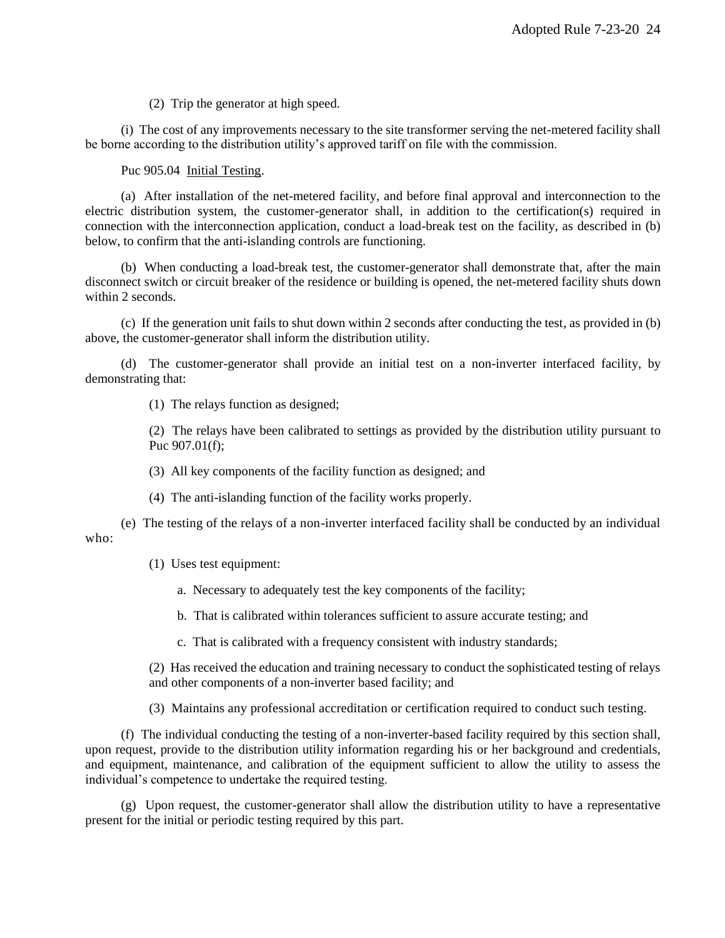(2) Trip the generator at high speed.

(i) The cost of any improvements necessary to the site transformer serving the net-metered facility shall be borne according to the distribution utility's approved tariff on file with the commission.

Puc 905.04 Initial Testing.

(a) After installation of the net-metered facility, and before final approval and interconnection to the electric distribution system, the customer-generator shall, in addition to the certification(s) required in connection with the interconnection application, conduct a load-break test on the facility, as described in (b) below, to confirm that the anti-islanding controls are functioning.

(b) When conducting a load-break test, the customer-generator shall demonstrate that, after the main disconnect switch or circuit breaker of the residence or building is opened, the net-metered facility shuts down within 2 seconds.

(c) If the generation unit fails to shut down within 2 seconds after conducting the test, as provided in (b) above, the customer-generator shall inform the distribution utility.

(d) The customer-generator shall provide an initial test on a non-inverter interfaced facility, by demonstrating that:

(1) The relays function as designed;

(2) The relays have been calibrated to settings as provided by the distribution utility pursuant to Puc 907.01(f);

(3) All key components of the facility function as designed; and

(4) The anti-islanding function of the facility works properly.

(e) The testing of the relays of a non-inverter interfaced facility shall be conducted by an individual who:

(1) Uses test equipment:

a. Necessary to adequately test the key components of the facility;

b. That is calibrated within tolerances sufficient to assure accurate testing; and

c. That is calibrated with a frequency consistent with industry standards;

(2) Has received the education and training necessary to conduct the sophisticated testing of relays and other components of a non-inverter based facility; and

(3) Maintains any professional accreditation or certification required to conduct such testing.

(f) The individual conducting the testing of a non-inverter-based facility required by this section shall, upon request, provide to the distribution utility information regarding his or her background and credentials, and equipment, maintenance, and calibration of the equipment sufficient to allow the utility to assess the individual's competence to undertake the required testing.

(g) Upon request, the customer-generator shall allow the distribution utility to have a representative present for the initial or periodic testing required by this part.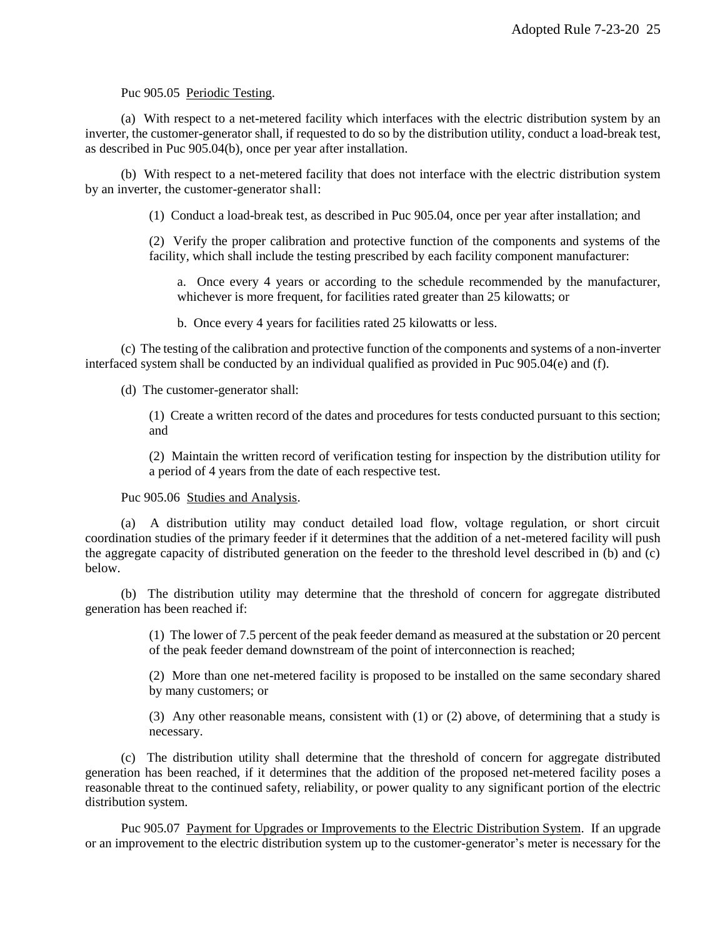Puc 905.05 Periodic Testing.

(a) With respect to a net-metered facility which interfaces with the electric distribution system by an inverter, the customer-generator shall, if requested to do so by the distribution utility, conduct a load-break test, as described in Puc 905.04(b), once per year after installation.

(b) With respect to a net-metered facility that does not interface with the electric distribution system by an inverter, the customer-generator shall:

(1) Conduct a load-break test, as described in Puc 905.04, once per year after installation; and

(2) Verify the proper calibration and protective function of the components and systems of the facility, which shall include the testing prescribed by each facility component manufacturer:

a. Once every 4 years or according to the schedule recommended by the manufacturer, whichever is more frequent, for facilities rated greater than 25 kilowatts; or

b. Once every 4 years for facilities rated 25 kilowatts or less.

(c) The testing of the calibration and protective function of the components and systems of a non-inverter interfaced system shall be conducted by an individual qualified as provided in Puc 905.04(e) and (f).

(d) The customer-generator shall:

(1) Create a written record of the dates and procedures for tests conducted pursuant to this section; and

(2) Maintain the written record of verification testing for inspection by the distribution utility for a period of 4 years from the date of each respective test.

Puc 905.06 Studies and Analysis.

(a) A distribution utility may conduct detailed load flow, voltage regulation, or short circuit coordination studies of the primary feeder if it determines that the addition of a net-metered facility will push the aggregate capacity of distributed generation on the feeder to the threshold level described in (b) and (c) below.

(b) The distribution utility may determine that the threshold of concern for aggregate distributed generation has been reached if:

> (1) The lower of 7.5 percent of the peak feeder demand as measured at the substation or 20 percent of the peak feeder demand downstream of the point of interconnection is reached;

> (2) More than one net-metered facility is proposed to be installed on the same secondary shared by many customers; or

> (3) Any other reasonable means, consistent with (1) or (2) above, of determining that a study is necessary.

(c) The distribution utility shall determine that the threshold of concern for aggregate distributed generation has been reached, if it determines that the addition of the proposed net-metered facility poses a reasonable threat to the continued safety, reliability, or power quality to any significant portion of the electric distribution system.

Puc 905.07 Payment for Upgrades or Improvements to the Electric Distribution System. If an upgrade or an improvement to the electric distribution system up to the customer-generator's meter is necessary for the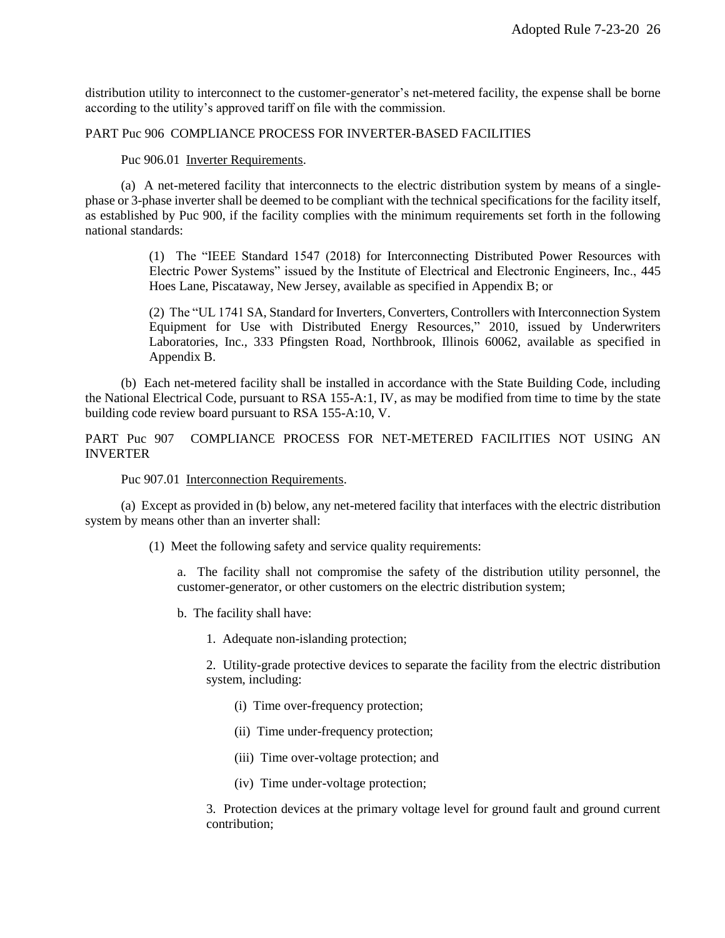distribution utility to interconnect to the customer-generator's net-metered facility, the expense shall be borne according to the utility's approved tariff on file with the commission.

# PART Puc 906 COMPLIANCE PROCESS FOR INVERTER-BASED FACILITIES

#### Puc 906.01 Inverter Requirements.

(a) A net-metered facility that interconnects to the electric distribution system by means of a singlephase or 3-phase inverter shall be deemed to be compliant with the technical specifications for the facility itself, as established by Puc 900, if the facility complies with the minimum requirements set forth in the following national standards:

> (1) The "IEEE Standard 1547 (2018) for Interconnecting Distributed Power Resources with Electric Power Systems" issued by the Institute of Electrical and Electronic Engineers, Inc., 445 Hoes Lane, Piscataway, New Jersey, available as specified in Appendix B; or

> (2) The "UL 1741 SA, Standard for Inverters, Converters, Controllers with Interconnection System Equipment for Use with Distributed Energy Resources," 2010, issued by Underwriters Laboratories, Inc., 333 Pfingsten Road, Northbrook, Illinois 60062, available as specified in Appendix B.

(b) Each net-metered facility shall be installed in accordance with the State Building Code, including the National Electrical Code, pursuant to RSA 155-A:1, IV, as may be modified from time to time by the state building code review board pursuant to RSA 155-A:10, V.

PART Puc 907 COMPLIANCE PROCESS FOR NET-METERED FACILITIES NOT USING AN INVERTER

Puc 907.01 Interconnection Requirements.

(a) Except as provided in (b) below, any net-metered facility that interfaces with the electric distribution system by means other than an inverter shall:

(1) Meet the following safety and service quality requirements:

a. The facility shall not compromise the safety of the distribution utility personnel, the customer-generator, or other customers on the electric distribution system;

b. The facility shall have:

1. Adequate non-islanding protection;

2. Utility-grade protective devices to separate the facility from the electric distribution system, including:

- (i) Time over-frequency protection;
- (ii) Time under-frequency protection;
- (iii) Time over-voltage protection; and
- (iv) Time under-voltage protection;

3. Protection devices at the primary voltage level for ground fault and ground current contribution;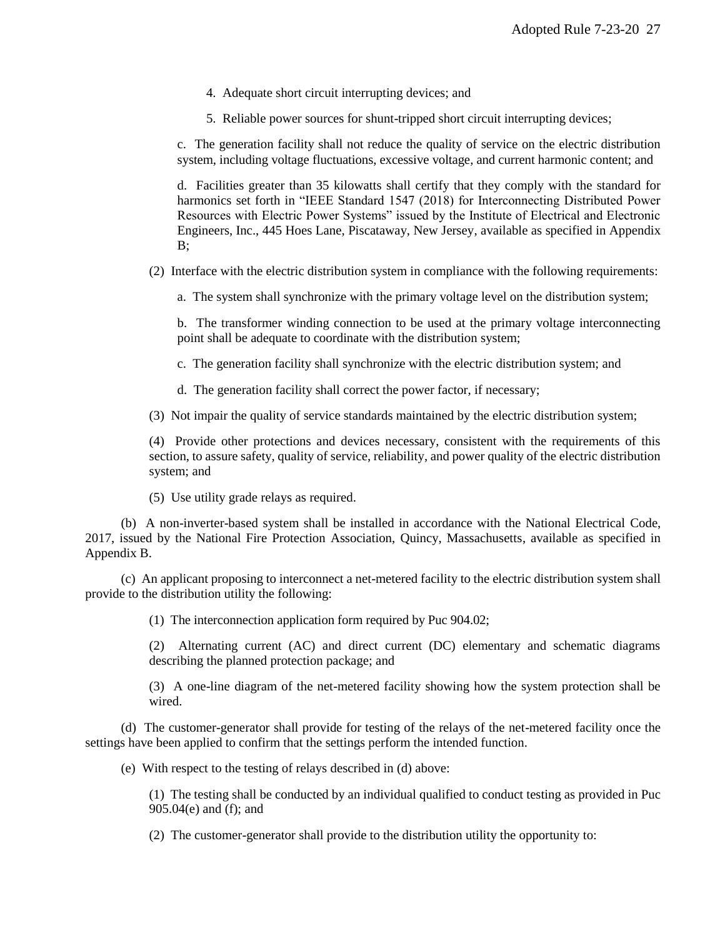- 4. Adequate short circuit interrupting devices; and
- 5. Reliable power sources for shunt-tripped short circuit interrupting devices;

c. The generation facility shall not reduce the quality of service on the electric distribution system, including voltage fluctuations, excessive voltage, and current harmonic content; and

d. Facilities greater than 35 kilowatts shall certify that they comply with the standard for harmonics set forth in "IEEE Standard 1547 (2018) for Interconnecting Distributed Power Resources with Electric Power Systems" issued by the Institute of Electrical and Electronic Engineers, Inc., 445 Hoes Lane, Piscataway, New Jersey, available as specified in Appendix B;

(2) Interface with the electric distribution system in compliance with the following requirements:

a. The system shall synchronize with the primary voltage level on the distribution system;

b. The transformer winding connection to be used at the primary voltage interconnecting point shall be adequate to coordinate with the distribution system;

c. The generation facility shall synchronize with the electric distribution system; and

d. The generation facility shall correct the power factor, if necessary;

(3) Not impair the quality of service standards maintained by the electric distribution system;

(4) Provide other protections and devices necessary, consistent with the requirements of this section, to assure safety, quality of service, reliability, and power quality of the electric distribution system; and

(5) Use utility grade relays as required.

(b) A non-inverter-based system shall be installed in accordance with the National Electrical Code, 2017, issued by the National Fire Protection Association, Quincy, Massachusetts, available as specified in Appendix B.

(c) An applicant proposing to interconnect a net-metered facility to the electric distribution system shall provide to the distribution utility the following:

(1) The interconnection application form required by Puc 904.02;

(2) Alternating current (AC) and direct current (DC) elementary and schematic diagrams describing the planned protection package; and

(3) A one-line diagram of the net-metered facility showing how the system protection shall be wired.

(d) The customer-generator shall provide for testing of the relays of the net-metered facility once the settings have been applied to confirm that the settings perform the intended function.

(e) With respect to the testing of relays described in (d) above:

(1) The testing shall be conducted by an individual qualified to conduct testing as provided in Puc 905.04(e) and (f); and

(2) The customer-generator shall provide to the distribution utility the opportunity to: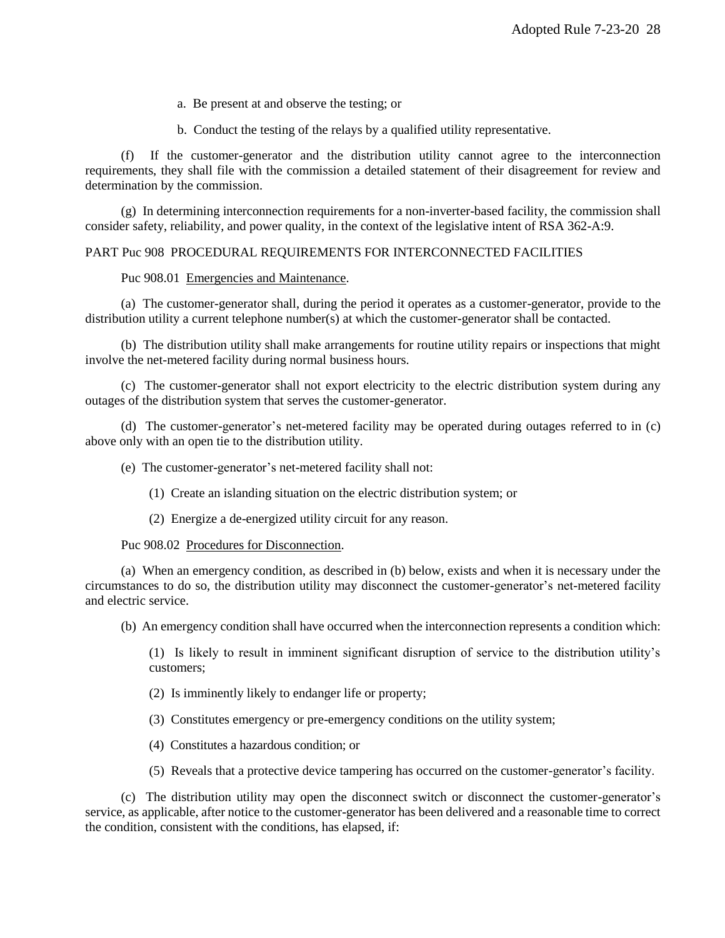a. Be present at and observe the testing; or

b. Conduct the testing of the relays by a qualified utility representative.

(f) If the customer-generator and the distribution utility cannot agree to the interconnection requirements, they shall file with the commission a detailed statement of their disagreement for review and determination by the commission.

(g) In determining interconnection requirements for a non-inverter-based facility, the commission shall consider safety, reliability, and power quality, in the context of the legislative intent of RSA 362-A:9.

# PART Puc 908 PROCEDURAL REQUIREMENTS FOR INTERCONNECTED FACILITIES

#### Puc 908.01 Emergencies and Maintenance.

(a) The customer-generator shall, during the period it operates as a customer-generator, provide to the distribution utility a current telephone number(s) at which the customer-generator shall be contacted.

(b) The distribution utility shall make arrangements for routine utility repairs or inspections that might involve the net-metered facility during normal business hours.

(c) The customer-generator shall not export electricity to the electric distribution system during any outages of the distribution system that serves the customer-generator.

(d) The customer-generator's net-metered facility may be operated during outages referred to in (c) above only with an open tie to the distribution utility.

(e) The customer-generator's net-metered facility shall not:

(1) Create an islanding situation on the electric distribution system; or

(2) Energize a de-energized utility circuit for any reason.

Puc 908.02 Procedures for Disconnection.

(a) When an emergency condition, as described in (b) below, exists and when it is necessary under the circumstances to do so, the distribution utility may disconnect the customer-generator's net-metered facility and electric service.

(b) An emergency condition shall have occurred when the interconnection represents a condition which:

(1) Is likely to result in imminent significant disruption of service to the distribution utility's customers;

- (2) Is imminently likely to endanger life or property;
- (3) Constitutes emergency or pre-emergency conditions on the utility system;
- (4) Constitutes a hazardous condition; or
- (5) Reveals that a protective device tampering has occurred on the customer-generator's facility.

(c) The distribution utility may open the disconnect switch or disconnect the customer-generator's service, as applicable, after notice to the customer-generator has been delivered and a reasonable time to correct the condition, consistent with the conditions, has elapsed, if: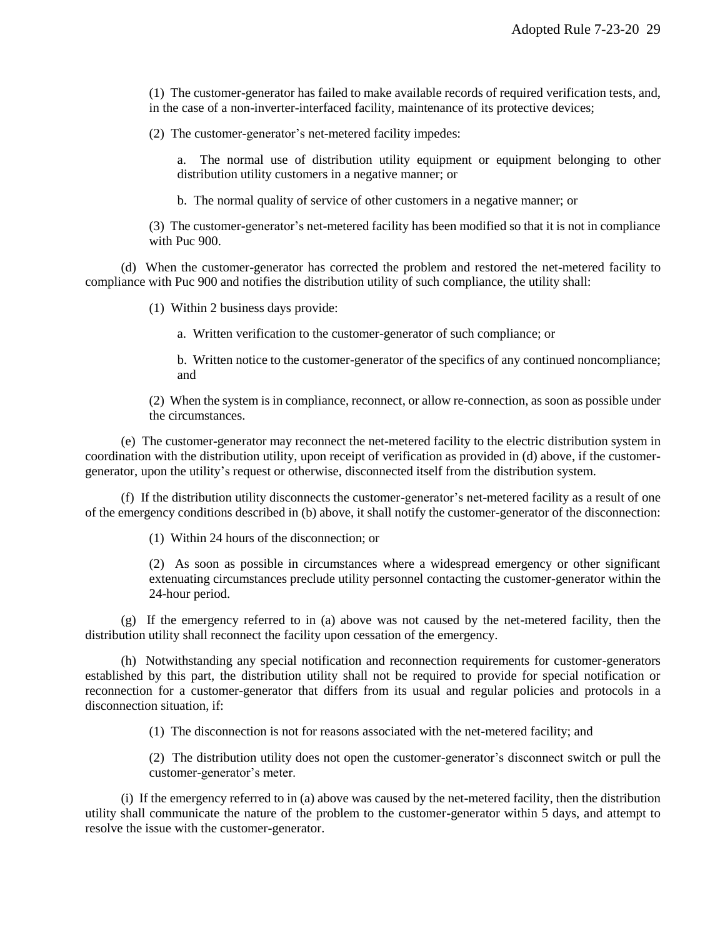(1) The customer-generator has failed to make available records of required verification tests, and, in the case of a non-inverter-interfaced facility, maintenance of its protective devices;

(2) The customer-generator's net-metered facility impedes:

a. The normal use of distribution utility equipment or equipment belonging to other distribution utility customers in a negative manner; or

b. The normal quality of service of other customers in a negative manner; or

(3) The customer-generator's net-metered facility has been modified so that it is not in compliance with Puc 900.

(d) When the customer-generator has corrected the problem and restored the net-metered facility to compliance with Puc 900 and notifies the distribution utility of such compliance, the utility shall:

(1) Within 2 business days provide:

a. Written verification to the customer-generator of such compliance; or

b. Written notice to the customer-generator of the specifics of any continued noncompliance; and

(2) When the system is in compliance, reconnect, or allow re-connection, as soon as possible under the circumstances.

(e) The customer-generator may reconnect the net-metered facility to the electric distribution system in coordination with the distribution utility, upon receipt of verification as provided in (d) above, if the customergenerator, upon the utility's request or otherwise, disconnected itself from the distribution system.

(f) If the distribution utility disconnects the customer-generator's net-metered facility as a result of one of the emergency conditions described in (b) above, it shall notify the customer-generator of the disconnection:

(1) Within 24 hours of the disconnection; or

(2) As soon as possible in circumstances where a widespread emergency or other significant extenuating circumstances preclude utility personnel contacting the customer-generator within the 24-hour period.

(g) If the emergency referred to in (a) above was not caused by the net-metered facility, then the distribution utility shall reconnect the facility upon cessation of the emergency.

(h) Notwithstanding any special notification and reconnection requirements for customer-generators established by this part, the distribution utility shall not be required to provide for special notification or reconnection for a customer-generator that differs from its usual and regular policies and protocols in a disconnection situation, if:

(1) The disconnection is not for reasons associated with the net-metered facility; and

(2) The distribution utility does not open the customer-generator's disconnect switch or pull the customer-generator's meter.

(i) If the emergency referred to in (a) above was caused by the net-metered facility, then the distribution utility shall communicate the nature of the problem to the customer-generator within 5 days, and attempt to resolve the issue with the customer-generator.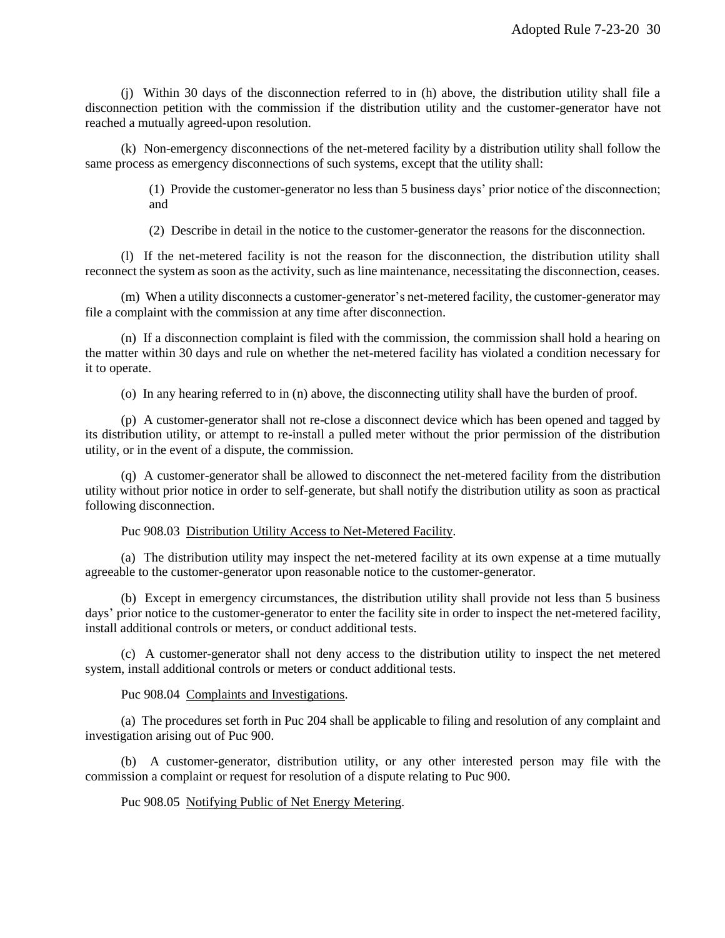(j) Within 30 days of the disconnection referred to in (h) above, the distribution utility shall file a disconnection petition with the commission if the distribution utility and the customer-generator have not reached a mutually agreed-upon resolution.

(k) Non-emergency disconnections of the net-metered facility by a distribution utility shall follow the same process as emergency disconnections of such systems, except that the utility shall:

> (1) Provide the customer-generator no less than 5 business days' prior notice of the disconnection; and

(2) Describe in detail in the notice to the customer-generator the reasons for the disconnection.

(l) If the net-metered facility is not the reason for the disconnection, the distribution utility shall reconnect the system as soon as the activity, such as line maintenance, necessitating the disconnection, ceases.

(m) When a utility disconnects a customer-generator's net-metered facility, the customer-generator may file a complaint with the commission at any time after disconnection.

(n) If a disconnection complaint is filed with the commission, the commission shall hold a hearing on the matter within 30 days and rule on whether the net-metered facility has violated a condition necessary for it to operate.

(o) In any hearing referred to in (n) above, the disconnecting utility shall have the burden of proof.

(p) A customer-generator shall not re-close a disconnect device which has been opened and tagged by its distribution utility, or attempt to re-install a pulled meter without the prior permission of the distribution utility, or in the event of a dispute, the commission.

(q) A customer-generator shall be allowed to disconnect the net-metered facility from the distribution utility without prior notice in order to self-generate, but shall notify the distribution utility as soon as practical following disconnection.

Puc 908.03 Distribution Utility Access to Net-Metered Facility.

(a) The distribution utility may inspect the net-metered facility at its own expense at a time mutually agreeable to the customer-generator upon reasonable notice to the customer-generator.

(b) Except in emergency circumstances, the distribution utility shall provide not less than 5 business days' prior notice to the customer-generator to enter the facility site in order to inspect the net-metered facility, install additional controls or meters, or conduct additional tests.

(c) A customer-generator shall not deny access to the distribution utility to inspect the net metered system, install additional controls or meters or conduct additional tests.

Puc 908.04 Complaints and Investigations.

(a) The procedures set forth in Puc 204 shall be applicable to filing and resolution of any complaint and investigation arising out of Puc 900.

(b) A customer-generator, distribution utility, or any other interested person may file with the commission a complaint or request for resolution of a dispute relating to Puc 900.

Puc 908.05 Notifying Public of Net Energy Metering.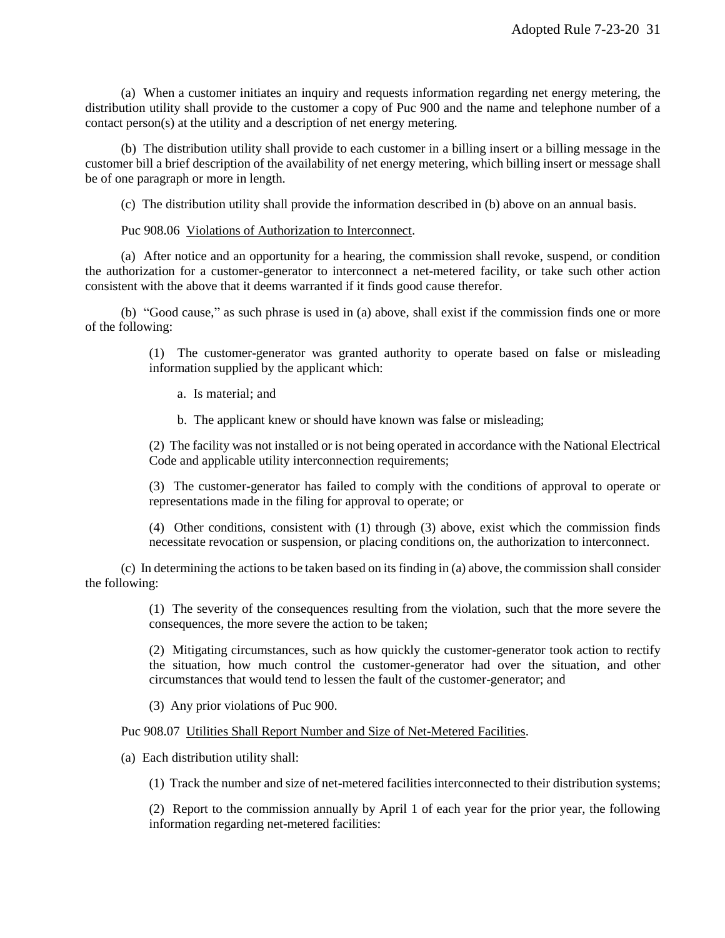(a) When a customer initiates an inquiry and requests information regarding net energy metering, the distribution utility shall provide to the customer a copy of Puc 900 and the name and telephone number of a contact person(s) at the utility and a description of net energy metering.

(b) The distribution utility shall provide to each customer in a billing insert or a billing message in the customer bill a brief description of the availability of net energy metering, which billing insert or message shall be of one paragraph or more in length.

(c) The distribution utility shall provide the information described in (b) above on an annual basis.

Puc 908.06 Violations of Authorization to Interconnect.

(a) After notice and an opportunity for a hearing, the commission shall revoke, suspend, or condition the authorization for a customer-generator to interconnect a net-metered facility, or take such other action consistent with the above that it deems warranted if it finds good cause therefor.

(b) "Good cause," as such phrase is used in (a) above, shall exist if the commission finds one or more of the following:

> (1) The customer-generator was granted authority to operate based on false or misleading information supplied by the applicant which:

a. Is material; and

b. The applicant knew or should have known was false or misleading;

(2) The facility was not installed or is not being operated in accordance with the National Electrical Code and applicable utility interconnection requirements;

(3) The customer-generator has failed to comply with the conditions of approval to operate or representations made in the filing for approval to operate; or

(4) Other conditions, consistent with (1) through (3) above, exist which the commission finds necessitate revocation or suspension, or placing conditions on, the authorization to interconnect.

(c) In determining the actions to be taken based on its finding in (a) above, the commission shall consider the following:

> (1) The severity of the consequences resulting from the violation, such that the more severe the consequences, the more severe the action to be taken;

> (2) Mitigating circumstances, such as how quickly the customer-generator took action to rectify the situation, how much control the customer-generator had over the situation, and other circumstances that would tend to lessen the fault of the customer-generator; and

(3) Any prior violations of Puc 900.

Puc 908.07 Utilities Shall Report Number and Size of Net-Metered Facilities.

(a) Each distribution utility shall:

(1) Track the number and size of net-metered facilities interconnected to their distribution systems;

(2) Report to the commission annually by April 1 of each year for the prior year, the following information regarding net-metered facilities: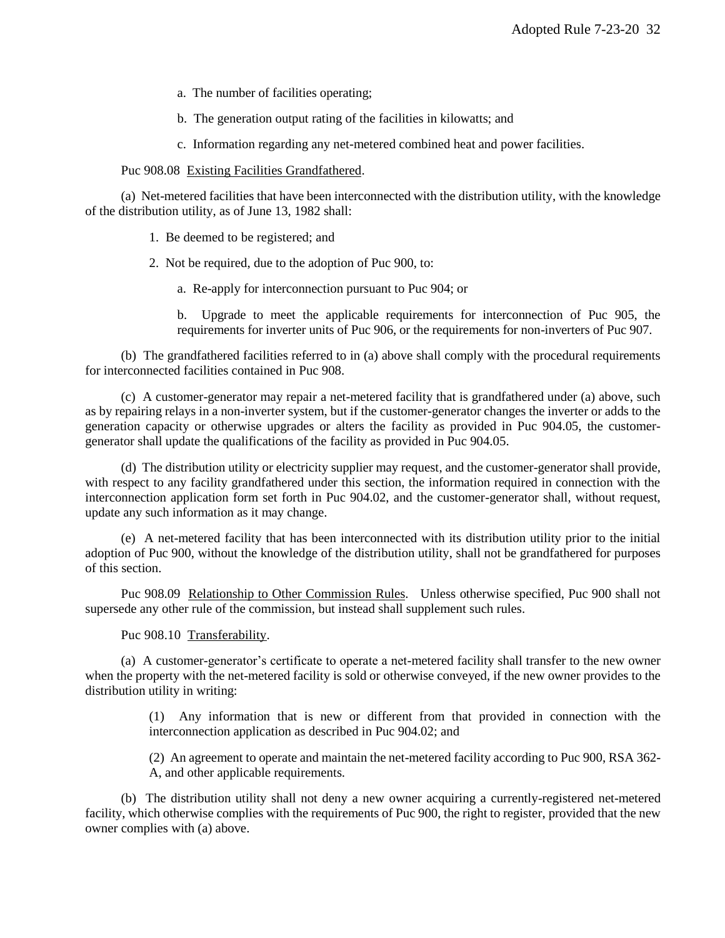- a. The number of facilities operating;
- b. The generation output rating of the facilities in kilowatts; and
- c. Information regarding any net-metered combined heat and power facilities.

Puc 908.08 Existing Facilities Grandfathered.

(a) Net-metered facilities that have been interconnected with the distribution utility, with the knowledge of the distribution utility, as of June 13, 1982 shall:

- 1. Be deemed to be registered; and
- 2. Not be required, due to the adoption of Puc 900, to:
	- a. Re-apply for interconnection pursuant to Puc 904; or

b. Upgrade to meet the applicable requirements for interconnection of Puc 905, the requirements for inverter units of Puc 906, or the requirements for non-inverters of Puc 907.

(b) The grandfathered facilities referred to in (a) above shall comply with the procedural requirements for interconnected facilities contained in Puc 908.

(c) A customer-generator may repair a net-metered facility that is grandfathered under (a) above, such as by repairing relays in a non-inverter system, but if the customer-generator changes the inverter or adds to the generation capacity or otherwise upgrades or alters the facility as provided in Puc 904.05, the customergenerator shall update the qualifications of the facility as provided in Puc 904.05.

(d) The distribution utility or electricity supplier may request, and the customer-generator shall provide, with respect to any facility grandfathered under this section, the information required in connection with the interconnection application form set forth in Puc 904.02, and the customer-generator shall, without request, update any such information as it may change.

(e) A net-metered facility that has been interconnected with its distribution utility prior to the initial adoption of Puc 900, without the knowledge of the distribution utility, shall not be grandfathered for purposes of this section.

Puc 908.09 Relationship to Other Commission Rules. Unless otherwise specified, Puc 900 shall not supersede any other rule of the commission, but instead shall supplement such rules.

Puc 908.10 Transferability.

(a) A customer-generator's certificate to operate a net-metered facility shall transfer to the new owner when the property with the net-metered facility is sold or otherwise conveyed, if the new owner provides to the distribution utility in writing:

> (1) Any information that is new or different from that provided in connection with the interconnection application as described in Puc 904.02; and

> (2) An agreement to operate and maintain the net-metered facility according to Puc 900, RSA 362- A, and other applicable requirements.

(b) The distribution utility shall not deny a new owner acquiring a currently-registered net-metered facility, which otherwise complies with the requirements of Puc 900, the right to register, provided that the new owner complies with (a) above.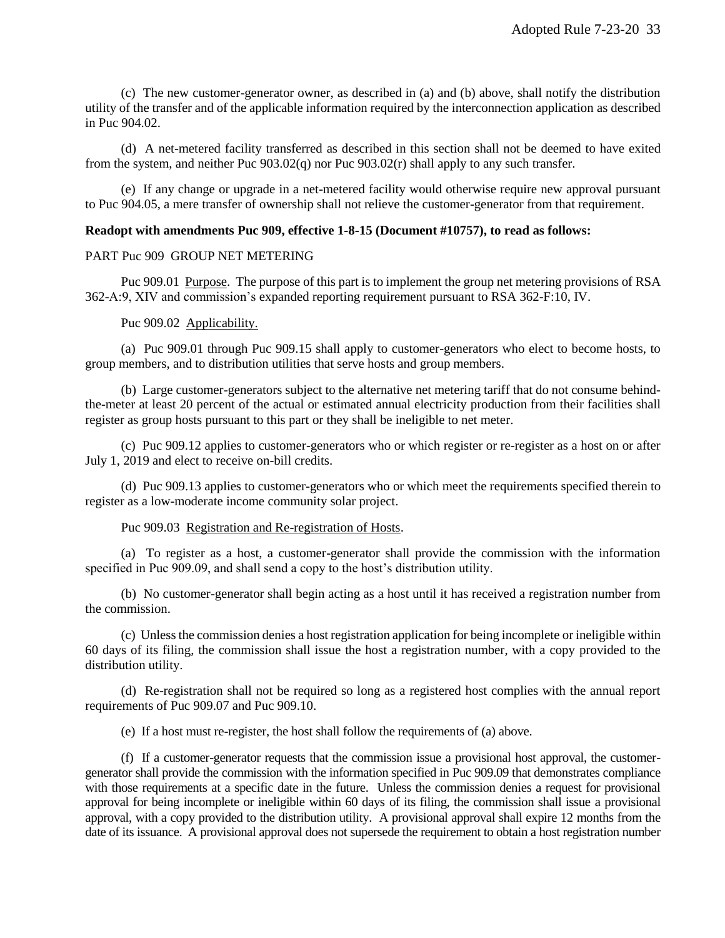(c) The new customer-generator owner, as described in (a) and (b) above, shall notify the distribution utility of the transfer and of the applicable information required by the interconnection application as described in Puc 904.02.

(d) A net-metered facility transferred as described in this section shall not be deemed to have exited from the system, and neither Puc 903.02(q) nor Puc 903.02(r) shall apply to any such transfer.

(e) If any change or upgrade in a net-metered facility would otherwise require new approval pursuant to Puc 904.05, a mere transfer of ownership shall not relieve the customer-generator from that requirement.

# **Readopt with amendments Puc 909, effective 1-8-15 (Document #10757), to read as follows:**

## PART Puc 909 GROUP NET METERING

Puc 909.01 Purpose. The purpose of this part is to implement the group net metering provisions of RSA 362-A:9, XIV and commission's expanded reporting requirement pursuant to RSA 362-F:10, IV.

#### Puc 909.02 Applicability.

(a) Puc 909.01 through Puc 909.15 shall apply to customer-generators who elect to become hosts, to group members, and to distribution utilities that serve hosts and group members.

(b) Large customer-generators subject to the alternative net metering tariff that do not consume behindthe-meter at least 20 percent of the actual or estimated annual electricity production from their facilities shall register as group hosts pursuant to this part or they shall be ineligible to net meter.

(c) Puc 909.12 applies to customer-generators who or which register or re-register as a host on or after July 1, 2019 and elect to receive on-bill credits.

(d) Puc 909.13 applies to customer-generators who or which meet the requirements specified therein to register as a low-moderate income community solar project.

## Puc 909.03 Registration and Re-registration of Hosts.

(a) To register as a host, a customer-generator shall provide the commission with the information specified in Puc 909.09, and shall send a copy to the host's distribution utility.

(b) No customer-generator shall begin acting as a host until it has received a registration number from the commission.

(c) Unless the commission denies a host registration application for being incomplete or ineligible within 60 days of its filing, the commission shall issue the host a registration number, with a copy provided to the distribution utility.

(d) Re-registration shall not be required so long as a registered host complies with the annual report requirements of Puc 909.07 and Puc 909.10.

(e) If a host must re-register, the host shall follow the requirements of (a) above.

(f) If a customer-generator requests that the commission issue a provisional host approval, the customergenerator shall provide the commission with the information specified in Puc 909.09 that demonstrates compliance with those requirements at a specific date in the future. Unless the commission denies a request for provisional approval for being incomplete or ineligible within 60 days of its filing, the commission shall issue a provisional approval, with a copy provided to the distribution utility. A provisional approval shall expire 12 months from the date of its issuance. A provisional approval does not supersede the requirement to obtain a host registration number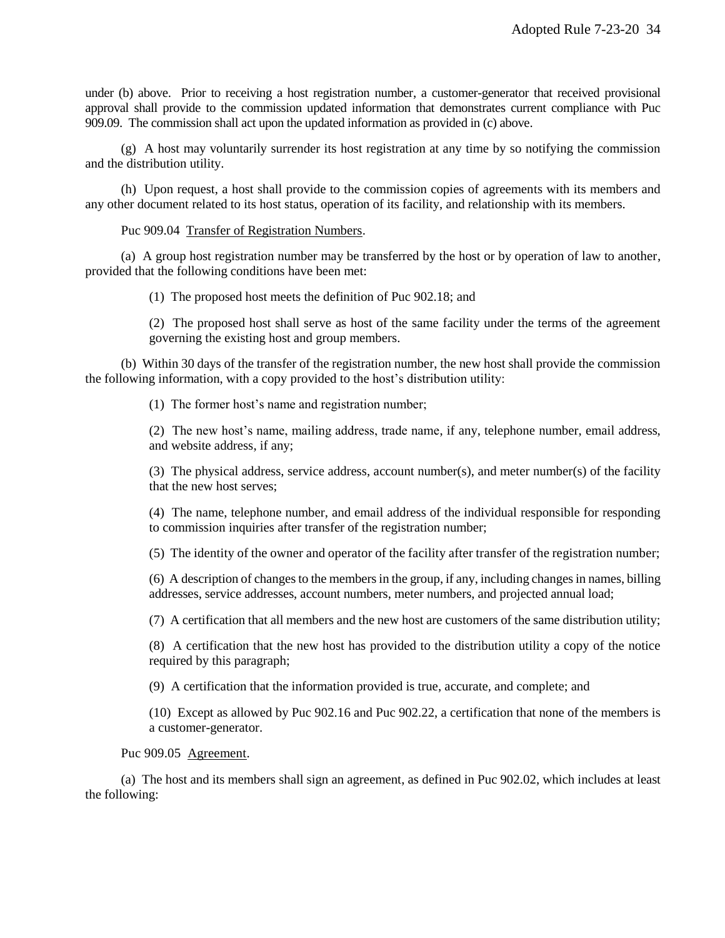under (b) above. Prior to receiving a host registration number, a customer-generator that received provisional approval shall provide to the commission updated information that demonstrates current compliance with Puc 909.09. The commission shall act upon the updated information as provided in (c) above.

(g) A host may voluntarily surrender its host registration at any time by so notifying the commission and the distribution utility.

(h) Upon request, a host shall provide to the commission copies of agreements with its members and any other document related to its host status, operation of its facility, and relationship with its members.

Puc 909.04 Transfer of Registration Numbers.

(a) A group host registration number may be transferred by the host or by operation of law to another, provided that the following conditions have been met:

(1) The proposed host meets the definition of Puc 902.18; and

(2) The proposed host shall serve as host of the same facility under the terms of the agreement governing the existing host and group members.

(b) Within 30 days of the transfer of the registration number, the new host shall provide the commission the following information, with a copy provided to the host's distribution utility:

(1) The former host's name and registration number;

(2) The new host's name, mailing address, trade name, if any, telephone number, email address, and website address, if any;

(3) The physical address, service address, account number(s), and meter number(s) of the facility that the new host serves;

(4) The name, telephone number, and email address of the individual responsible for responding to commission inquiries after transfer of the registration number;

(5) The identity of the owner and operator of the facility after transfer of the registration number;

(6) A description of changes to the members in the group, if any, including changes in names, billing addresses, service addresses, account numbers, meter numbers, and projected annual load;

(7) A certification that all members and the new host are customers of the same distribution utility;

(8) A certification that the new host has provided to the distribution utility a copy of the notice required by this paragraph;

(9) A certification that the information provided is true, accurate, and complete; and

(10) Except as allowed by Puc 902.16 and Puc 902.22, a certification that none of the members is a customer-generator.

Puc 909.05 Agreement.

(a) The host and its members shall sign an agreement, as defined in Puc 902.02, which includes at least the following: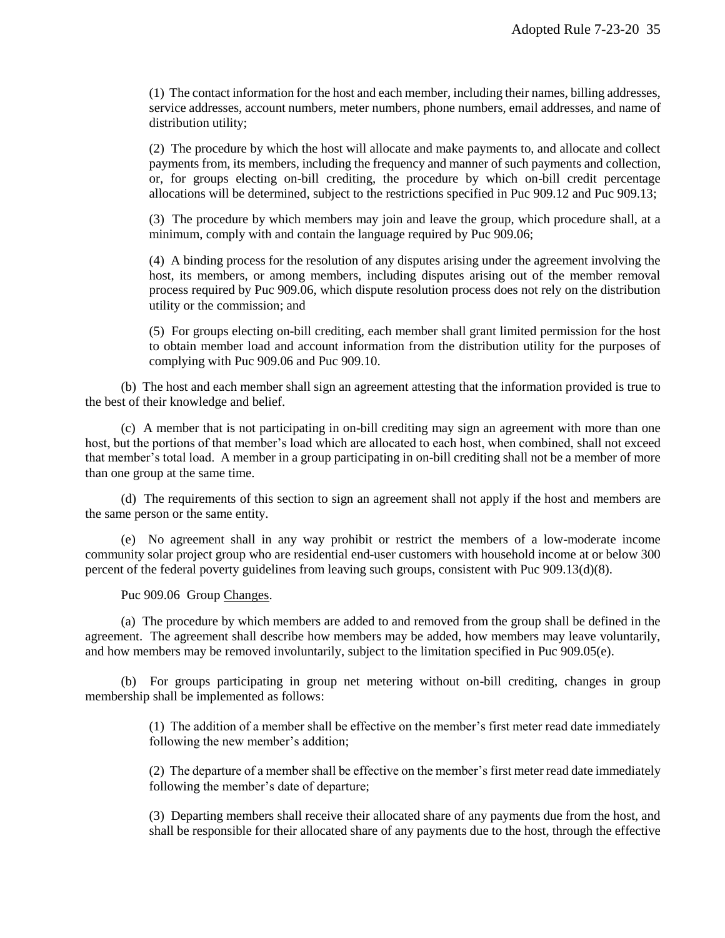(1) The contact information for the host and each member, including their names, billing addresses, service addresses, account numbers, meter numbers, phone numbers, email addresses, and name of distribution utility;

(2) The procedure by which the host will allocate and make payments to, and allocate and collect payments from, its members, including the frequency and manner of such payments and collection, or, for groups electing on-bill crediting, the procedure by which on-bill credit percentage allocations will be determined, subject to the restrictions specified in Puc 909.12 and Puc 909.13;

(3) The procedure by which members may join and leave the group, which procedure shall, at a minimum, comply with and contain the language required by Puc 909.06;

(4) A binding process for the resolution of any disputes arising under the agreement involving the host, its members, or among members, including disputes arising out of the member removal process required by Puc 909.06, which dispute resolution process does not rely on the distribution utility or the commission; and

(5) For groups electing on-bill crediting, each member shall grant limited permission for the host to obtain member load and account information from the distribution utility for the purposes of complying with Puc 909.06 and Puc 909.10.

(b) The host and each member shall sign an agreement attesting that the information provided is true to the best of their knowledge and belief.

(c) A member that is not participating in on-bill crediting may sign an agreement with more than one host, but the portions of that member's load which are allocated to each host, when combined, shall not exceed that member's total load. A member in a group participating in on-bill crediting shall not be a member of more than one group at the same time.

(d) The requirements of this section to sign an agreement shall not apply if the host and members are the same person or the same entity.

(e) No agreement shall in any way prohibit or restrict the members of a low-moderate income community solar project group who are residential end-user customers with household income at or below 300 percent of the federal poverty guidelines from leaving such groups, consistent with Puc 909.13(d)(8).

Puc 909.06 Group Changes.

(a) The procedure by which members are added to and removed from the group shall be defined in the agreement. The agreement shall describe how members may be added, how members may leave voluntarily, and how members may be removed involuntarily, subject to the limitation specified in Puc 909.05(e).

(b) For groups participating in group net metering without on-bill crediting, changes in group membership shall be implemented as follows:

> (1) The addition of a member shall be effective on the member's first meter read date immediately following the new member's addition;

> (2) The departure of a member shall be effective on the member's first meter read date immediately following the member's date of departure;

> (3) Departing members shall receive their allocated share of any payments due from the host, and shall be responsible for their allocated share of any payments due to the host, through the effective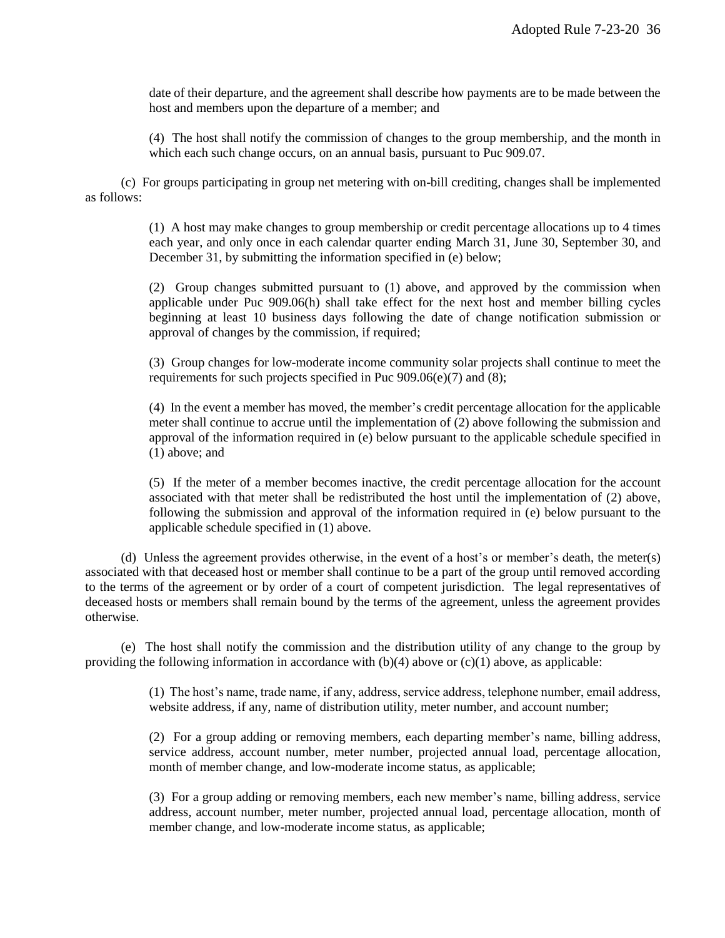date of their departure, and the agreement shall describe how payments are to be made between the host and members upon the departure of a member; and

(4) The host shall notify the commission of changes to the group membership, and the month in which each such change occurs, on an annual basis, pursuant to Puc 909.07.

(c) For groups participating in group net metering with on-bill crediting, changes shall be implemented as follows:

> (1) A host may make changes to group membership or credit percentage allocations up to 4 times each year, and only once in each calendar quarter ending March 31, June 30, September 30, and December 31, by submitting the information specified in (e) below;

> (2) Group changes submitted pursuant to (1) above, and approved by the commission when applicable under Puc 909.06(h) shall take effect for the next host and member billing cycles beginning at least 10 business days following the date of change notification submission or approval of changes by the commission, if required;

> (3) Group changes for low-moderate income community solar projects shall continue to meet the requirements for such projects specified in Puc  $909.06(e)(7)$  and  $(8)$ ;

> (4) In the event a member has moved, the member's credit percentage allocation for the applicable meter shall continue to accrue until the implementation of (2) above following the submission and approval of the information required in  $(e)$  below pursuant to the applicable schedule specified in (1) above; and

> (5) If the meter of a member becomes inactive, the credit percentage allocation for the account associated with that meter shall be redistributed the host until the implementation of (2) above, following the submission and approval of the information required in (e) below pursuant to the applicable schedule specified in (1) above.

(d) Unless the agreement provides otherwise, in the event of a host's or member's death, the meter(s) associated with that deceased host or member shall continue to be a part of the group until removed according to the terms of the agreement or by order of a court of competent jurisdiction. The legal representatives of deceased hosts or members shall remain bound by the terms of the agreement, unless the agreement provides otherwise.

(e) The host shall notify the commission and the distribution utility of any change to the group by providing the following information in accordance with  $(b)(4)$  above or  $(c)(1)$  above, as applicable:

> (1) The host's name, trade name, if any, address, service address, telephone number, email address, website address, if any, name of distribution utility, meter number, and account number;

> (2) For a group adding or removing members, each departing member's name, billing address, service address, account number, meter number, projected annual load, percentage allocation, month of member change, and low-moderate income status, as applicable;

> (3) For a group adding or removing members, each new member's name, billing address, service address, account number, meter number, projected annual load, percentage allocation, month of member change, and low-moderate income status, as applicable;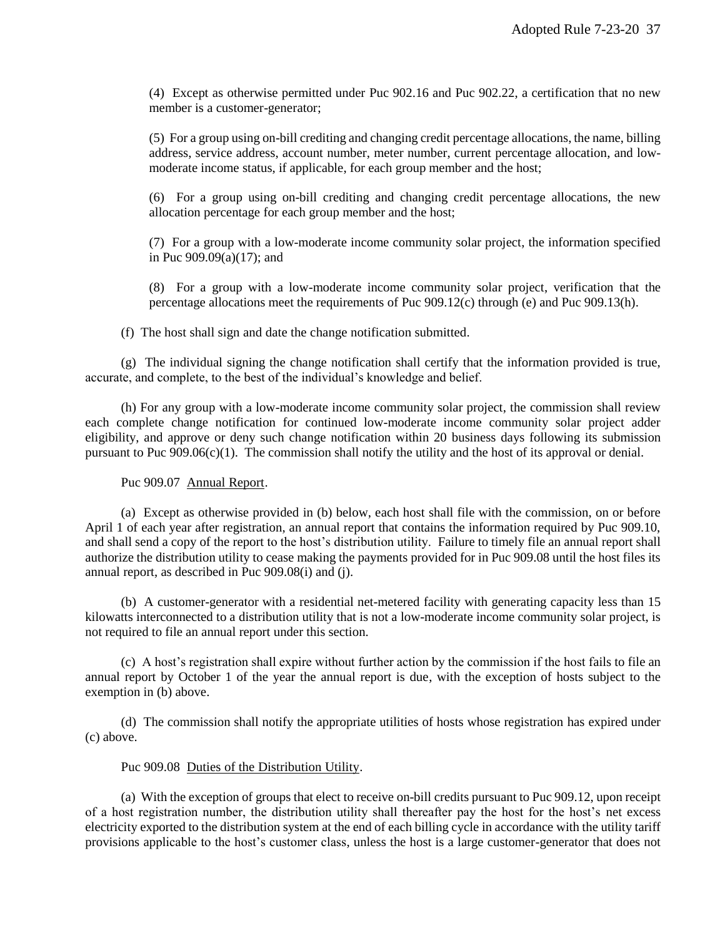(4) Except as otherwise permitted under Puc 902.16 and Puc 902.22, a certification that no new member is a customer-generator;

(5) For a group using on-bill crediting and changing credit percentage allocations, the name, billing address, service address, account number, meter number, current percentage allocation, and lowmoderate income status, if applicable, for each group member and the host;

(6) For a group using on-bill crediting and changing credit percentage allocations, the new allocation percentage for each group member and the host;

(7) For a group with a low-moderate income community solar project, the information specified in Puc 909.09(a)(17); and

(8) For a group with a low-moderate income community solar project, verification that the percentage allocations meet the requirements of Puc 909.12(c) through (e) and Puc 909.13(h).

(f) The host shall sign and date the change notification submitted.

(g) The individual signing the change notification shall certify that the information provided is true, accurate, and complete, to the best of the individual's knowledge and belief.

(h) For any group with a low-moderate income community solar project, the commission shall review each complete change notification for continued low-moderate income community solar project adder eligibility, and approve or deny such change notification within 20 business days following its submission pursuant to Puc  $909.06(c)(1)$ . The commission shall notify the utility and the host of its approval or denial.

Puc 909.07 Annual Report.

(a) Except as otherwise provided in (b) below, each host shall file with the commission, on or before April 1 of each year after registration, an annual report that contains the information required by Puc 909.10, and shall send a copy of the report to the host's distribution utility. Failure to timely file an annual report shall authorize the distribution utility to cease making the payments provided for in Puc 909.08 until the host files its annual report, as described in Puc 909.08(i) and (j).

(b) A customer-generator with a residential net-metered facility with generating capacity less than 15 kilowatts interconnected to a distribution utility that is not a low-moderate income community solar project, is not required to file an annual report under this section.

(c) A host's registration shall expire without further action by the commission if the host fails to file an annual report by October 1 of the year the annual report is due, with the exception of hosts subject to the exemption in (b) above.

(d) The commission shall notify the appropriate utilities of hosts whose registration has expired under (c) above.

#### Puc 909.08 Duties of the Distribution Utility.

(a) With the exception of groups that elect to receive on-bill credits pursuant to Puc 909.12, upon receipt of a host registration number, the distribution utility shall thereafter pay the host for the host's net excess electricity exported to the distribution system at the end of each billing cycle in accordance with the utility tariff provisions applicable to the host's customer class, unless the host is a large customer-generator that does not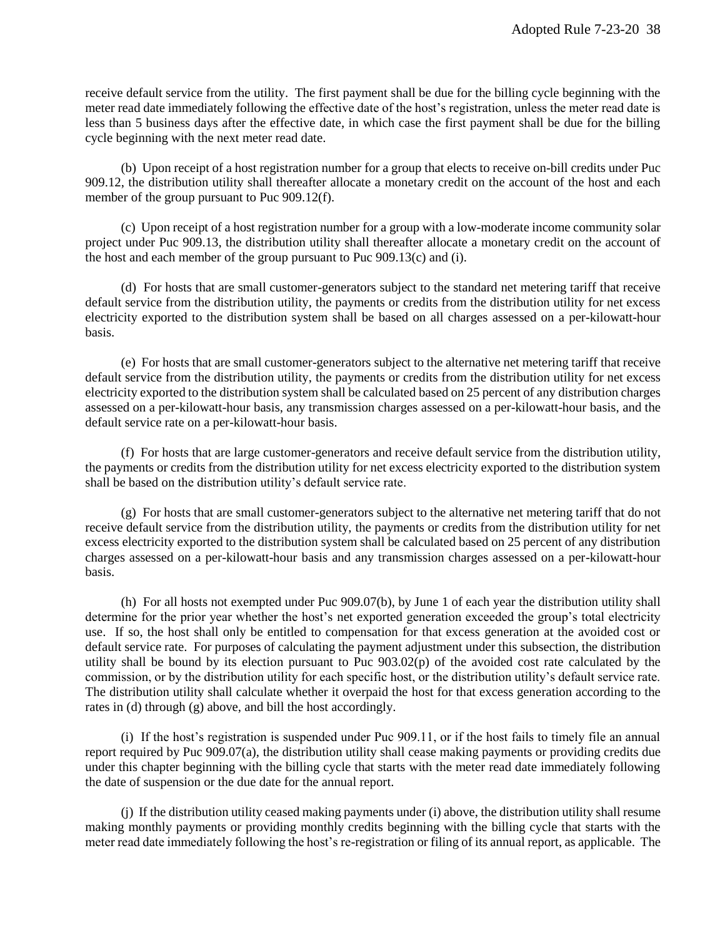receive default service from the utility. The first payment shall be due for the billing cycle beginning with the meter read date immediately following the effective date of the host's registration, unless the meter read date is less than 5 business days after the effective date, in which case the first payment shall be due for the billing cycle beginning with the next meter read date.

(b) Upon receipt of a host registration number for a group that elects to receive on-bill credits under Puc 909.12, the distribution utility shall thereafter allocate a monetary credit on the account of the host and each member of the group pursuant to Puc 909.12(f).

(c) Upon receipt of a host registration number for a group with a low-moderate income community solar project under Puc 909.13, the distribution utility shall thereafter allocate a monetary credit on the account of the host and each member of the group pursuant to Puc 909.13(c) and (i).

(d) For hosts that are small customer-generators subject to the standard net metering tariff that receive default service from the distribution utility, the payments or credits from the distribution utility for net excess electricity exported to the distribution system shall be based on all charges assessed on a per-kilowatt-hour basis.

(e) For hosts that are small customer-generators subject to the alternative net metering tariff that receive default service from the distribution utility, the payments or credits from the distribution utility for net excess electricity exported to the distribution system shall be calculated based on 25 percent of any distribution charges assessed on a per-kilowatt-hour basis, any transmission charges assessed on a per-kilowatt-hour basis, and the default service rate on a per-kilowatt-hour basis.

(f) For hosts that are large customer-generators and receive default service from the distribution utility, the payments or credits from the distribution utility for net excess electricity exported to the distribution system shall be based on the distribution utility's default service rate.

(g) For hosts that are small customer-generators subject to the alternative net metering tariff that do not receive default service from the distribution utility, the payments or credits from the distribution utility for net excess electricity exported to the distribution system shall be calculated based on 25 percent of any distribution charges assessed on a per-kilowatt-hour basis and any transmission charges assessed on a per-kilowatt-hour basis.

(h) For all hosts not exempted under Puc 909.07(b), by June 1 of each year the distribution utility shall determine for the prior year whether the host's net exported generation exceeded the group's total electricity use. If so, the host shall only be entitled to compensation for that excess generation at the avoided cost or default service rate. For purposes of calculating the payment adjustment under this subsection, the distribution utility shall be bound by its election pursuant to Puc 903.02(p) of the avoided cost rate calculated by the commission, or by the distribution utility for each specific host, or the distribution utility's default service rate. The distribution utility shall calculate whether it overpaid the host for that excess generation according to the rates in (d) through (g) above, and bill the host accordingly.

(i) If the host's registration is suspended under Puc 909.11, or if the host fails to timely file an annual report required by Puc 909.07(a), the distribution utility shall cease making payments or providing credits due under this chapter beginning with the billing cycle that starts with the meter read date immediately following the date of suspension or the due date for the annual report.

(j) If the distribution utility ceased making payments under (i) above, the distribution utility shall resume making monthly payments or providing monthly credits beginning with the billing cycle that starts with the meter read date immediately following the host's re-registration or filing of its annual report, as applicable. The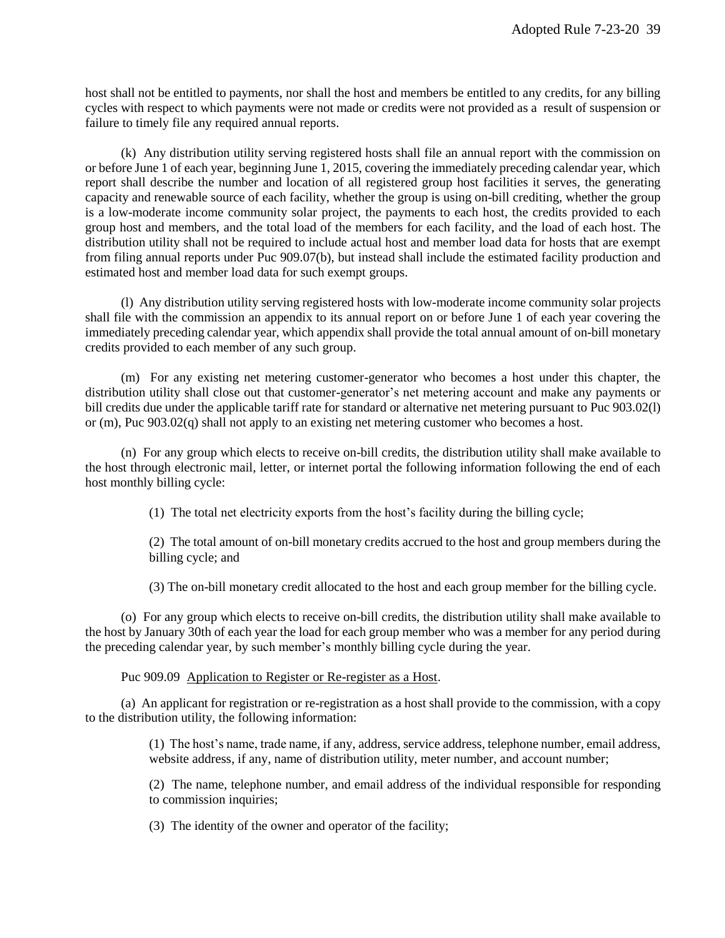host shall not be entitled to payments, nor shall the host and members be entitled to any credits, for any billing cycles with respect to which payments were not made or credits were not provided as a result of suspension or failure to timely file any required annual reports.

(k) Any distribution utility serving registered hosts shall file an annual report with the commission on or before June 1 of each year, beginning June 1, 2015, covering the immediately preceding calendar year, which report shall describe the number and location of all registered group host facilities it serves, the generating capacity and renewable source of each facility, whether the group is using on-bill crediting, whether the group is a low-moderate income community solar project, the payments to each host, the credits provided to each group host and members, and the total load of the members for each facility, and the load of each host. The distribution utility shall not be required to include actual host and member load data for hosts that are exempt from filing annual reports under Puc 909.07(b), but instead shall include the estimated facility production and estimated host and member load data for such exempt groups.

(l) Any distribution utility serving registered hosts with low-moderate income community solar projects shall file with the commission an appendix to its annual report on or before June 1 of each year covering the immediately preceding calendar year, which appendix shall provide the total annual amount of on-bill monetary credits provided to each member of any such group.

(m) For any existing net metering customer-generator who becomes a host under this chapter, the distribution utility shall close out that customer-generator's net metering account and make any payments or bill credits due under the applicable tariff rate for standard or alternative net metering pursuant to Puc 903.02(l) or (m), Puc 903.02(q) shall not apply to an existing net metering customer who becomes a host.

(n) For any group which elects to receive on-bill credits, the distribution utility shall make available to the host through electronic mail, letter, or internet portal the following information following the end of each host monthly billing cycle:

(1) The total net electricity exports from the host's facility during the billing cycle;

(2) The total amount of on-bill monetary credits accrued to the host and group members during the billing cycle; and

(3) The on-bill monetary credit allocated to the host and each group member for the billing cycle.

(o) For any group which elects to receive on-bill credits, the distribution utility shall make available to the host by January 30th of each year the load for each group member who was a member for any period during the preceding calendar year, by such member's monthly billing cycle during the year.

Puc 909.09 Application to Register or Re-register as a Host.

(a) An applicant for registration or re-registration as a host shall provide to the commission, with a copy to the distribution utility, the following information:

> (1) The host's name, trade name, if any, address, service address, telephone number, email address, website address, if any, name of distribution utility, meter number, and account number;

> (2) The name, telephone number, and email address of the individual responsible for responding to commission inquiries;

(3) The identity of the owner and operator of the facility;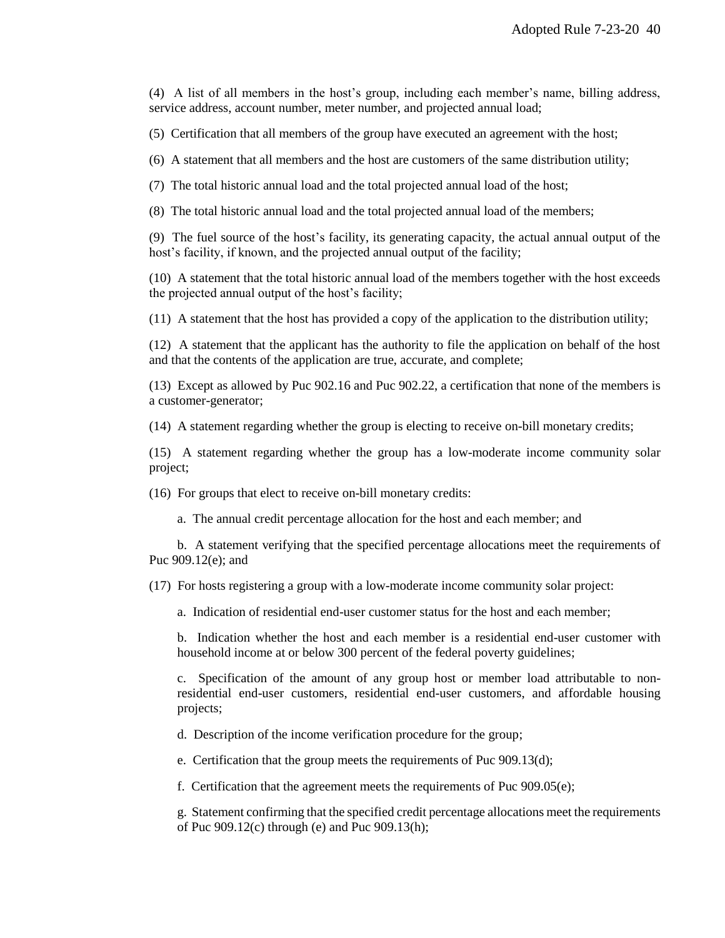(4) A list of all members in the host's group, including each member's name, billing address, service address, account number, meter number, and projected annual load;

(5) Certification that all members of the group have executed an agreement with the host;

(6) A statement that all members and the host are customers of the same distribution utility;

(7) The total historic annual load and the total projected annual load of the host;

(8) The total historic annual load and the total projected annual load of the members;

(9) The fuel source of the host's facility, its generating capacity, the actual annual output of the host's facility, if known, and the projected annual output of the facility;

(10) A statement that the total historic annual load of the members together with the host exceeds the projected annual output of the host's facility;

(11) A statement that the host has provided a copy of the application to the distribution utility;

(12) A statement that the applicant has the authority to file the application on behalf of the host and that the contents of the application are true, accurate, and complete;

(13) Except as allowed by Puc 902.16 and Puc 902.22, a certification that none of the members is a customer-generator;

(14) A statement regarding whether the group is electing to receive on-bill monetary credits;

(15) A statement regarding whether the group has a low-moderate income community solar project;

(16) For groups that elect to receive on-bill monetary credits:

a. The annual credit percentage allocation for the host and each member; and

b. A statement verifying that the specified percentage allocations meet the requirements of Puc 909.12(e); and

(17) For hosts registering a group with a low-moderate income community solar project:

a. Indication of residential end-user customer status for the host and each member;

b. Indication whether the host and each member is a residential end-user customer with household income at or below 300 percent of the federal poverty guidelines;

c. Specification of the amount of any group host or member load attributable to nonresidential end-user customers, residential end-user customers, and affordable housing projects;

d. Description of the income verification procedure for the group;

e. Certification that the group meets the requirements of Puc 909.13(d);

f. Certification that the agreement meets the requirements of Puc 909.05(e);

g. Statement confirming that the specified credit percentage allocations meet the requirements of Puc 909.12(c) through (e) and Puc 909.13(h);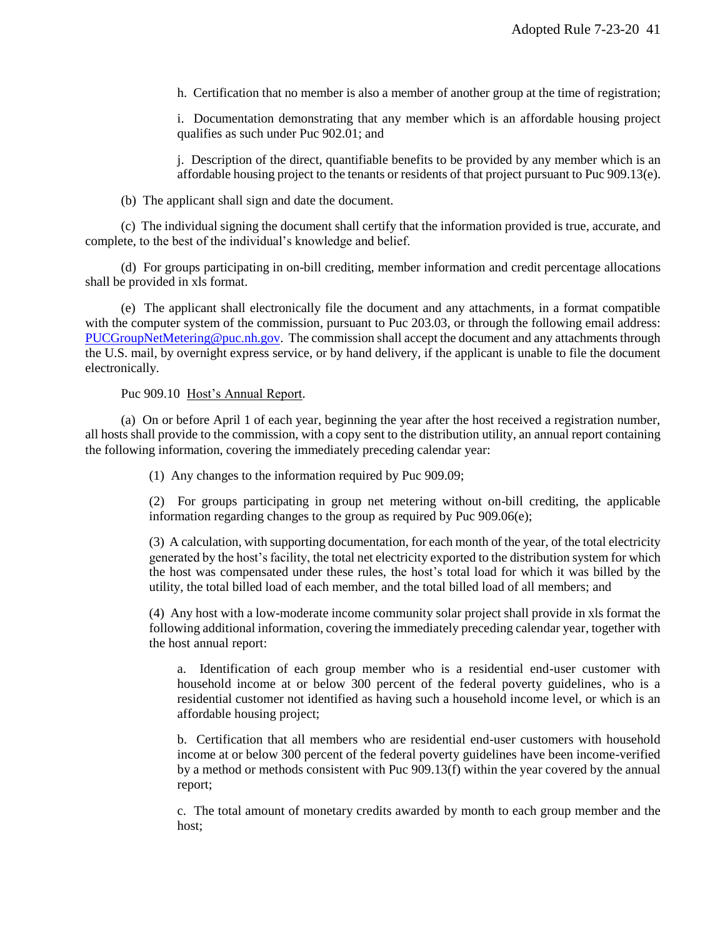h. Certification that no member is also a member of another group at the time of registration;

i. Documentation demonstrating that any member which is an affordable housing project qualifies as such under Puc 902.01; and

j. Description of the direct, quantifiable benefits to be provided by any member which is an affordable housing project to the tenants or residents of that project pursuant to Puc 909.13(e).

(b) The applicant shall sign and date the document.

(c) The individual signing the document shall certify that the information provided is true, accurate, and complete, to the best of the individual's knowledge and belief.

(d) For groups participating in on-bill crediting, member information and credit percentage allocations shall be provided in xls format.

(e) The applicant shall electronically file the document and any attachments, in a format compatible with the computer system of the commission, pursuant to Puc 203.03, or through the following email address: [PUCGroupNetMetering@puc.nh.gov.](mailto:PUCGroupNetMetering@puc.nh.gov) The commission shall accept the document and any attachments through the U.S. mail, by overnight express service, or by hand delivery, if the applicant is unable to file the document electronically.

#### Puc 909.10 Host's Annual Report.

(a) On or before April 1 of each year, beginning the year after the host received a registration number, all hosts shall provide to the commission, with a copy sent to the distribution utility, an annual report containing the following information, covering the immediately preceding calendar year:

(1) Any changes to the information required by Puc 909.09;

(2) For groups participating in group net metering without on-bill crediting, the applicable information regarding changes to the group as required by Puc 909.06(e);

(3) A calculation, with supporting documentation, for each month of the year, of the total electricity generated by the host's facility, the total net electricity exported to the distribution system for which the host was compensated under these rules, the host's total load for which it was billed by the utility, the total billed load of each member, and the total billed load of all members; and

(4) Any host with a low-moderate income community solar project shall provide in xls format the following additional information, covering the immediately preceding calendar year, together with the host annual report:

a. Identification of each group member who is a residential end-user customer with household income at or below 300 percent of the federal poverty guidelines, who is a residential customer not identified as having such a household income level, or which is an affordable housing project;

b. Certification that all members who are residential end-user customers with household income at or below 300 percent of the federal poverty guidelines have been income-verified by a method or methods consistent with Puc 909.13(f) within the year covered by the annual report;

c. The total amount of monetary credits awarded by month to each group member and the host;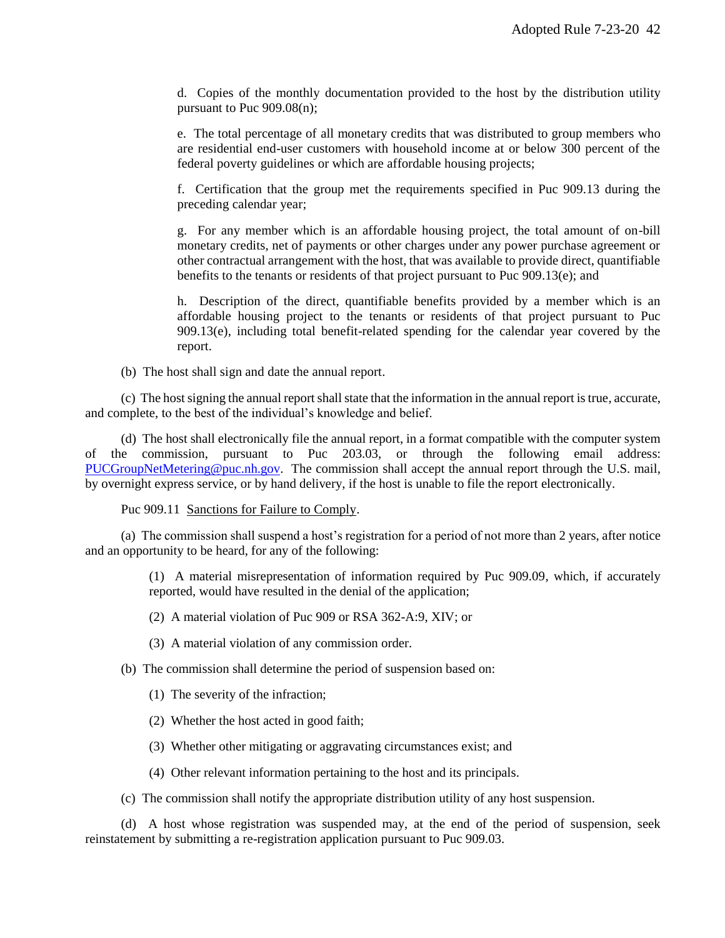d. Copies of the monthly documentation provided to the host by the distribution utility pursuant to Puc 909.08(n);

e. The total percentage of all monetary credits that was distributed to group members who are residential end-user customers with household income at or below 300 percent of the federal poverty guidelines or which are affordable housing projects;

f. Certification that the group met the requirements specified in Puc 909.13 during the preceding calendar year;

g. For any member which is an affordable housing project, the total amount of on-bill monetary credits, net of payments or other charges under any power purchase agreement or other contractual arrangement with the host, that was available to provide direct, quantifiable benefits to the tenants or residents of that project pursuant to Puc 909.13(e); and

h. Description of the direct, quantifiable benefits provided by a member which is an affordable housing project to the tenants or residents of that project pursuant to Puc  $909.13(e)$ , including total benefit-related spending for the calendar year covered by the report.

(b) The host shall sign and date the annual report.

(c) The host signing the annual report shall state that the information in the annual report is true, accurate, and complete, to the best of the individual's knowledge and belief.

(d) The host shall electronically file the annual report, in a format compatible with the computer system of the commission, pursuant to Puc 203.03, or through the following email address: [PUCGroupNetMetering@puc.nh.gov.](mailto:PUCGroupNetMetering@puc.nh.gov) The commission shall accept the annual report through the U.S. mail, by overnight express service, or by hand delivery, if the host is unable to file the report electronically.

Puc 909.11 Sanctions for Failure to Comply.

(a) The commission shall suspend a host's registration for a period of not more than 2 years, after notice and an opportunity to be heard, for any of the following:

> (1) A material misrepresentation of information required by Puc 909.09, which, if accurately reported, would have resulted in the denial of the application;

(2) A material violation of Puc 909 or RSA 362-A:9, XIV; or

(3) A material violation of any commission order.

(b) The commission shall determine the period of suspension based on:

(1) The severity of the infraction;

(2) Whether the host acted in good faith;

(3) Whether other mitigating or aggravating circumstances exist; and

(4) Other relevant information pertaining to the host and its principals.

(c) The commission shall notify the appropriate distribution utility of any host suspension.

(d) A host whose registration was suspended may, at the end of the period of suspension, seek reinstatement by submitting a re-registration application pursuant to Puc 909.03.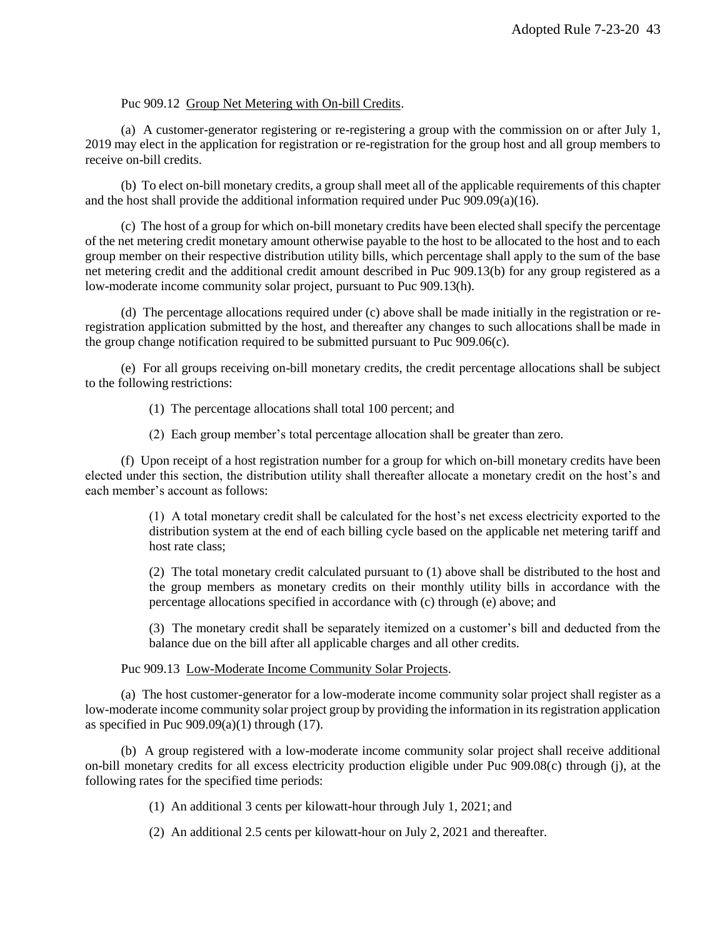# Puc 909.12 Group Net Metering with On-bill Credits.

(a) A customer-generator registering or re-registering a group with the commission on or after July 1, 2019 may elect in the application for registration or re-registration for the group host and all group members to receive on-bill credits.

(b) To elect on-bill monetary credits, a group shall meet all of the applicable requirements of this chapter and the host shall provide the additional information required under Puc 909.09(a)(16).

(c) The host of a group for which on-bill monetary credits have been elected shall specify the percentage of the net metering credit monetary amount otherwise payable to the host to be allocated to the host and to each group member on their respective distribution utility bills, which percentage shall apply to the sum of the base net metering credit and the additional credit amount described in Puc 909.13(b) for any group registered as a low-moderate income community solar project, pursuant to Puc 909.13(h).

(d) The percentage allocations required under (c) above shall be made initially in the registration or reregistration application submitted by the host, and thereafter any changes to such allocations shall be made in the group change notification required to be submitted pursuant to Puc 909.06(c).

(e) For all groups receiving on-bill monetary credits, the credit percentage allocations shall be subject to the following restrictions:

(1) The percentage allocations shall total 100 percent; and

(2) Each group member's total percentage allocation shall be greater than zero.

(f) Upon receipt of a host registration number for a group for which on-bill monetary credits have been elected under this section, the distribution utility shall thereafter allocate a monetary credit on the host's and each member's account as follows:

> (1) A total monetary credit shall be calculated for the host's net excess electricity exported to the distribution system at the end of each billing cycle based on the applicable net metering tariff and host rate class;

> (2) The total monetary credit calculated pursuant to (1) above shall be distributed to the host and the group members as monetary credits on their monthly utility bills in accordance with the percentage allocations specified in accordance with (c) through (e) above; and

> (3) The monetary credit shall be separately itemized on a customer's bill and deducted from the balance due on the bill after all applicable charges and all other credits.

Puc 909.13 Low-Moderate Income Community Solar Projects.

(a) The host customer-generator for a low-moderate income community solar project shall register as a low-moderate income community solar project group by providing the information in its registration application as specified in Puc  $909.09(a)(1)$  through (17).

(b) A group registered with a low-moderate income community solar project shall receive additional on-bill monetary credits for all excess electricity production eligible under Puc 909.08(c) through (j), at the following rates for the specified time periods:

(1) An additional 3 cents per kilowatt-hour through July 1, 2021; and

(2) An additional 2.5 cents per kilowatt-hour on July 2, 2021 and thereafter.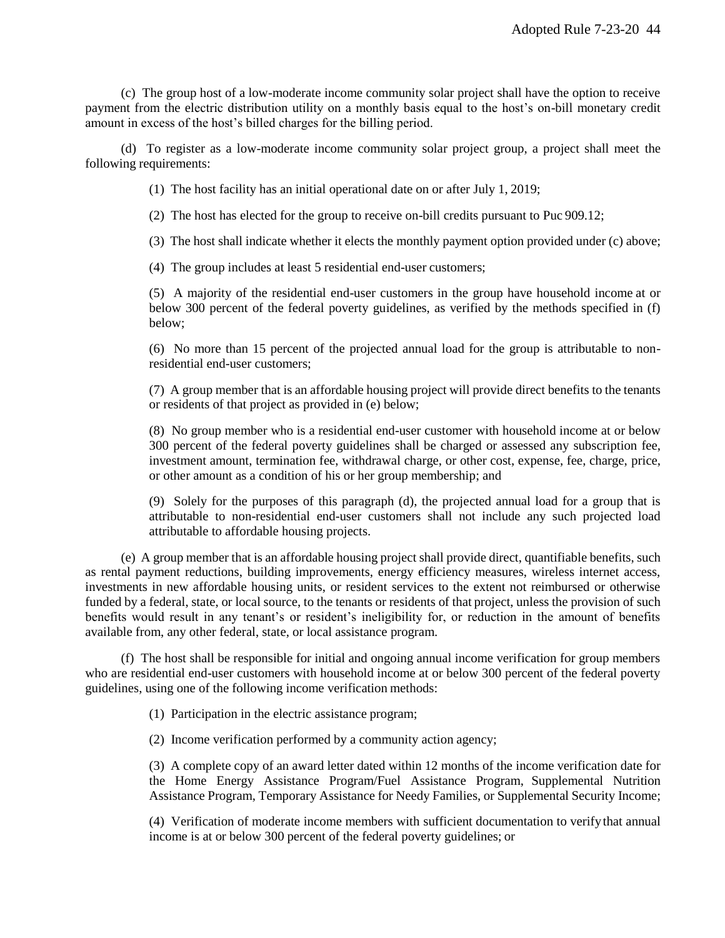(c) The group host of a low-moderate income community solar project shall have the option to receive payment from the electric distribution utility on a monthly basis equal to the host's on-bill monetary credit amount in excess of the host's billed charges for the billing period.

(d) To register as a low-moderate income community solar project group, a project shall meet the following requirements:

(1) The host facility has an initial operational date on or after July 1, 2019;

(2) The host has elected for the group to receive on-bill credits pursuant to Puc 909.12;

(3) The host shall indicate whether it elects the monthly payment option provided under (c) above;

(4) The group includes at least 5 residential end-user customers;

(5) A majority of the residential end-user customers in the group have household income at or below 300 percent of the federal poverty guidelines, as verified by the methods specified in (f) below;

(6) No more than 15 percent of the projected annual load for the group is attributable to nonresidential end-user customers;

(7) A group member that is an affordable housing project will provide direct benefits to the tenants or residents of that project as provided in (e) below;

(8) No group member who is a residential end-user customer with household income at or below 300 percent of the federal poverty guidelines shall be charged or assessed any subscription fee, investment amount, termination fee, withdrawal charge, or other cost, expense, fee, charge, price, or other amount as a condition of his or her group membership; and

(9) Solely for the purposes of this paragraph (d), the projected annual load for a group that is attributable to non-residential end-user customers shall not include any such projected load attributable to affordable housing projects.

(e) A group member that is an affordable housing project shall provide direct, quantifiable benefits, such as rental payment reductions, building improvements, energy efficiency measures, wireless internet access, investments in new affordable housing units, or resident services to the extent not reimbursed or otherwise funded by a federal, state, or local source, to the tenants or residents of that project, unless the provision of such benefits would result in any tenant's or resident's ineligibility for, or reduction in the amount of benefits available from, any other federal, state, or local assistance program.

(f) The host shall be responsible for initial and ongoing annual income verification for group members who are residential end-user customers with household income at or below 300 percent of the federal poverty guidelines, using one of the following income verification methods:

(1) Participation in the electric assistance program;

(2) Income verification performed by a community action agency;

(3) A complete copy of an award letter dated within 12 months of the income verification date for the Home Energy Assistance Program/Fuel Assistance Program, Supplemental Nutrition Assistance Program, Temporary Assistance for Needy Families, or Supplemental Security Income;

(4) Verification of moderate income members with sufficient documentation to verifythat annual income is at or below 300 percent of the federal poverty guidelines; or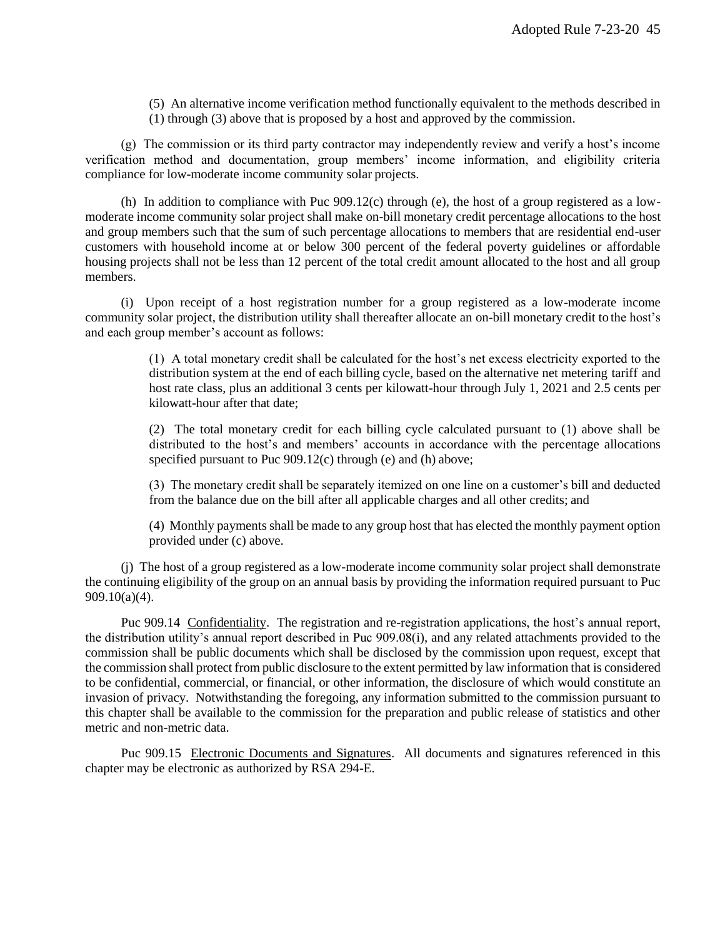(5) An alternative income verification method functionally equivalent to the methods described in (1) through (3) above that is proposed by a host and approved by the commission.

(g) The commission or its third party contractor may independently review and verify a host's income verification method and documentation, group members' income information, and eligibility criteria compliance for low-moderate income community solar projects.

(h) In addition to compliance with Puc 909.12(c) through (e), the host of a group registered as a lowmoderate income community solar project shall make on-bill monetary credit percentage allocations to the host and group members such that the sum of such percentage allocations to members that are residential end-user customers with household income at or below 300 percent of the federal poverty guidelines or affordable housing projects shall not be less than 12 percent of the total credit amount allocated to the host and all group members.

(i) Upon receipt of a host registration number for a group registered as a low-moderate income community solar project, the distribution utility shall thereafter allocate an on-bill monetary credit to the host's and each group member's account as follows:

> (1) A total monetary credit shall be calculated for the host's net excess electricity exported to the distribution system at the end of each billing cycle, based on the alternative net metering tariff and host rate class, plus an additional 3 cents per kilowatt-hour through July 1, 2021 and 2.5 cents per kilowatt-hour after that date;

> (2) The total monetary credit for each billing cycle calculated pursuant to (1) above shall be distributed to the host's and members' accounts in accordance with the percentage allocations specified pursuant to Puc 909.12(c) through (e) and (h) above;

> (3) The monetary credit shall be separately itemized on one line on a customer's bill and deducted from the balance due on the bill after all applicable charges and all other credits; and

> (4) Monthly payments shall be made to any group host that has elected the monthly payment option provided under (c) above.

(j) The host of a group registered as a low-moderate income community solar project shall demonstrate the continuing eligibility of the group on an annual basis by providing the information required pursuant to Puc 909.10(a)(4).

Puc 909.14 Confidentiality. The registration and re-registration applications, the host's annual report, the distribution utility's annual report described in Puc 909.08(i), and any related attachments provided to the commission shall be public documents which shall be disclosed by the commission upon request, except that the commission shall protect from public disclosure to the extent permitted by law information that is considered to be confidential, commercial, or financial, or other information, the disclosure of which would constitute an invasion of privacy. Notwithstanding the foregoing, any information submitted to the commission pursuant to this chapter shall be available to the commission for the preparation and public release of statistics and other metric and non-metric data.

Puc 909.15 Electronic Documents and Signatures. All documents and signatures referenced in this chapter may be electronic as authorized by RSA 294-E.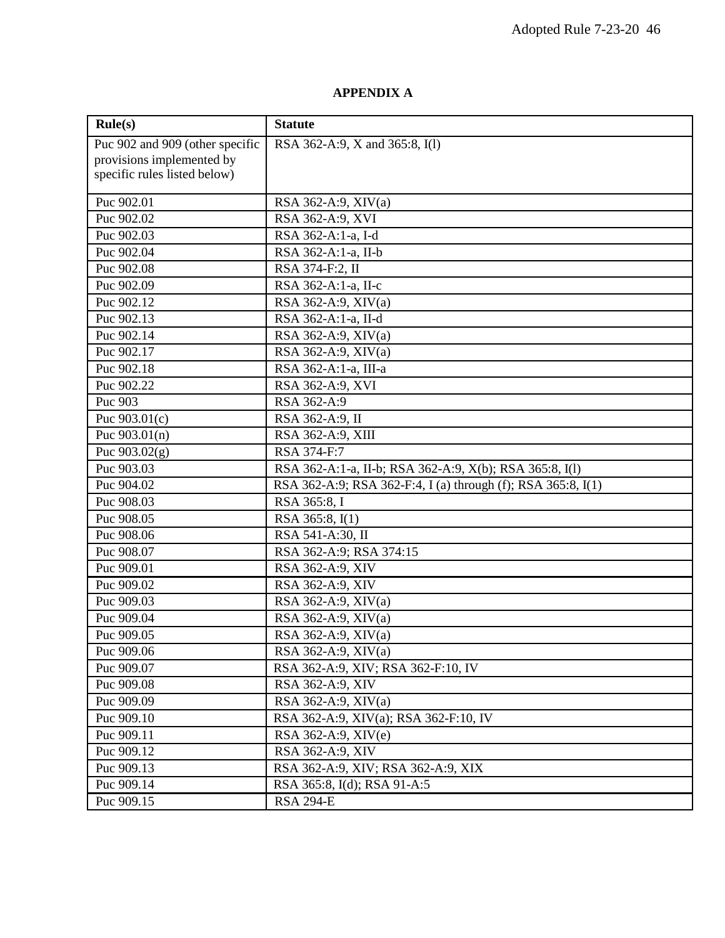# **APPENDIX A**

| Rule(s)                         | <b>Statute</b>                                               |  |
|---------------------------------|--------------------------------------------------------------|--|
| Puc 902 and 909 (other specific | RSA 362-A:9, X and 365:8, I(1)                               |  |
| provisions implemented by       |                                                              |  |
| specific rules listed below)    |                                                              |  |
| Puc 902.01                      | RSA 362-A:9, XIV(a)                                          |  |
| Puc 902.02                      | RSA 362-A:9, XVI                                             |  |
| Puc 902.03                      | RSA 362-A:1-a, I-d                                           |  |
| Puc 902.04                      | RSA 362-A:1-a, II-b                                          |  |
| Puc 902.08                      | RSA 374-F:2, II                                              |  |
| Puc 902.09                      | RSA 362-A:1-a, II-c                                          |  |
| Puc 902.12                      | RSA 362-A:9, XIV(a)                                          |  |
| Puc 902.13                      | RSA 362-A:1-a, II-d                                          |  |
| Puc 902.14                      | RSA 362-A:9, XIV(a)                                          |  |
| Puc 902.17                      | RSA 362-A:9, XIV(a)                                          |  |
| Puc 902.18                      | RSA 362-A:1-a, III-a                                         |  |
| Puc 902.22                      | RSA 362-A:9, XVI                                             |  |
| Puc 903                         | RSA 362-A:9                                                  |  |
| Puc $903.01(c)$                 | RSA 362-A:9, II                                              |  |
| Puc $903.01(n)$                 | RSA 362-A:9, XIII                                            |  |
| Puc $903.02(g)$                 | RSA 374-F:7                                                  |  |
| Puc 903.03                      | RSA 362-A:1-a, II-b; RSA 362-A:9, X(b); RSA 365:8, I(l)      |  |
| Puc 904.02                      | RSA 362-A:9; RSA 362-F:4, I (a) through (f); RSA 365:8, I(1) |  |
| Puc 908.03                      | RSA 365:8, I                                                 |  |
| Puc 908.05                      | RSA 365:8, I(1)                                              |  |
| Puc 908.06                      | RSA 541-A:30, II                                             |  |
| Puc 908.07                      | RSA 362-A:9; RSA 374:15                                      |  |
| Puc 909.01                      | RSA 362-A:9, XIV                                             |  |
| Puc 909.02                      | RSA 362-A:9, XIV                                             |  |
| Puc 909.03                      | RSA 362-A:9, XIV(a)                                          |  |
| Puc 909.04                      | RSA 362-A:9, XIV(a)                                          |  |
| Puc 909.05                      | RSA 362-A:9, XIV(a)                                          |  |
| Puc 909.06                      | RSA 362-A:9, XIV(a)                                          |  |
| Puc 909.07                      | RSA 362-A:9, XIV; RSA 362-F:10, IV                           |  |
| Puc 909.08                      | RSA 362-A:9, XIV                                             |  |
| Puc 909.09                      | RSA 362-A:9, XIV(a)                                          |  |
| Puc 909.10                      | RSA 362-A:9, XIV(a); RSA 362-F:10, IV                        |  |
| Puc 909.11                      | RSA 362-A:9, XIV(e)                                          |  |
| Puc 909.12                      | RSA 362-A:9, XIV                                             |  |
| Puc 909.13                      | RSA 362-A:9, XIV; RSA 362-A:9, XIX                           |  |
| Puc 909.14                      | RSA 365:8, I(d); RSA 91-A:5                                  |  |
| Puc 909.15                      | <b>RSA 294-E</b>                                             |  |